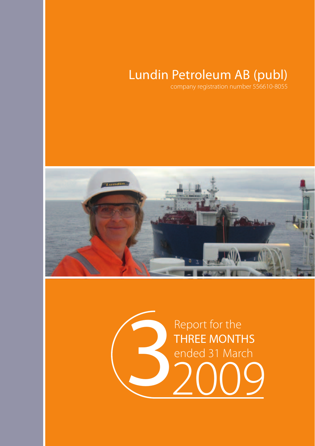# Lundin Petroleum AB (publ)

company registration number 556610-8055



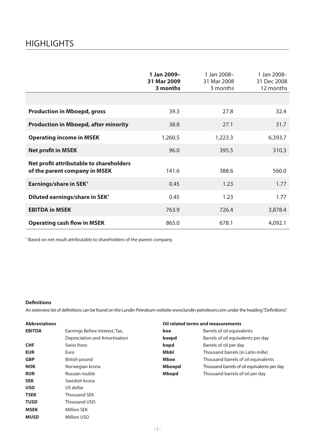## **HIGHLIGHTS**

|                                                                          | 1 Jan 2009-<br>31 Mar 2009<br>3 months | 1 Jan 2008-<br>31 Mar 2008<br>3 months | 1 Jan 2008-<br>31 Dec 2008<br>12 months |
|--------------------------------------------------------------------------|----------------------------------------|----------------------------------------|-----------------------------------------|
|                                                                          |                                        |                                        |                                         |
| <b>Production in Mboepd, gross</b>                                       | 39.3                                   | 27.8                                   | 32.4                                    |
| <b>Production in Mboepd, after minority</b>                              | 38.8                                   | 27.1                                   | 31.7                                    |
| <b>Operating income in MSEK</b>                                          | 1,260.5                                | 1,223.3                                | 6,393.7                                 |
| <b>Net profit in MSEK</b>                                                | 96.0                                   | 395.5                                  | 310.3                                   |
| Net profit attributable to shareholders<br>of the parent company in MSEK | 141.6                                  | 388.6                                  | 560.0                                   |
| Earnings/share in SEK <sup>1</sup>                                       | 0.45                                   | 1.23                                   | 1.77                                    |
| Diluted earnings/share in SEK <sup>1</sup>                               | 0.45                                   | 1.23                                   | 1.77                                    |
| <b>EBITDA in MSEK</b>                                                    | 763.9                                  | 726.4                                  | 3,878.4                                 |
| <b>Operating cash flow in MSEK</b>                                       | 865.0                                  | 678.1                                  | 4,092.1                                 |

<sup>1</sup> Based on net result attributable to shareholders of the parent company.

### **Definitions**

An extensive list of definitions can be found on the Lundin Petroleum website www.lundin-petroleum.com under the heading "Definitions".

| <b>Abbreviations</b> |                                |             | Oil related terms and measurements          |
|----------------------|--------------------------------|-------------|---------------------------------------------|
| <b>EBITDA</b>        | Earnings Before Interest, Tax, | boe         | Barrels of oil equivalents                  |
|                      | Depreciation and Amortisation  | boepd       | Barrels of oil equivalents per day          |
| <b>CHF</b>           | Swiss franc                    | bopd        | Barrels of oil per day                      |
| <b>EUR</b>           | Euro                           | Mbbl        | Thousand barrels (in Latin mille)           |
| <b>GBP</b>           | British pound                  | <b>Mboe</b> | Thousand barrels of oil equivalents         |
| <b>NOK</b>           | Norwegian krona                | Mboepd      | Thousand barrels of oil equivalents per day |
| <b>RUR</b>           | Russian rouble                 | Mbopd       | Thousand barrels of oil per day             |
| <b>SEK</b>           | Swedish krona                  |             |                                             |
| <b>USD</b>           | US dollar                      |             |                                             |
| <b>TSEK</b>          | <b>Thousand SEK</b>            |             |                                             |
| TUSD                 | Thousand USD                   |             |                                             |
| <b>MSEK</b>          | <b>Million SEK</b>             |             |                                             |
| <b>MUSD</b>          | Million USD                    |             |                                             |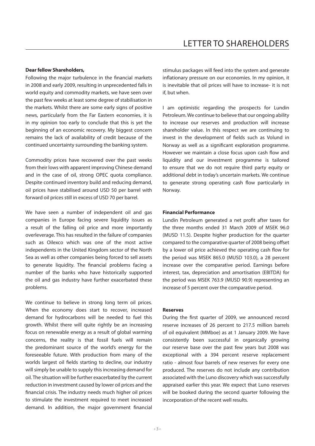#### **Dear fellow Shareholders,**

Following the major turbulence in the financial markets in 2008 and early 2009, resulting in unprecedented falls in world equity and commodity markets, we have seen over the past few weeks at least some degree of stabilisation in the markets. Whilst there are some early signs of positive news, particularly from the Far Eastern economies, it is in my opinion too early to conclude that this is yet the beginning of an economic recovery. My biggest concern remains the lack of availability of credit because of the continued uncertainty surrounding the banking system.

Commodity prices have recovered over the past weeks from their lows with apparent improving Chinese demand and in the case of oil, strong OPEC quota compliance. Despite continued inventory build and reducing demand, oil prices have stabilised around USD 50 per barrel with forward oil prices still in excess of USD 70 per barrel.

We have seen a number of independent oil and gas companies in Europe facing severe liquidity issues as a result of the falling oil price and more importantly overleverage. This has resulted in the failure of companies such as Oilexco which was one of the most active independents in the United Kingdom sector of the North Sea as well as other companies being forced to sell assets to generate liquidity. The financial problems facing a number of the banks who have historically supported the oil and gas industry have further exacerbated these problems.

We continue to believe in strong long term oil prices. When the economy does start to recover, increased demand for hydrocarbons will be needed to fuel this growth. Whilst there will quite rightly be an increasing focus on renewable energy as a result of global warming concerns, the reality is that fossil fuels will remain the predominant source of the world's energy for the foreseeable future. With production from many of the worlds largest oil fields starting to decline, our industry will simply be unable to supply this increasing demand for oil. The situation will be further exacerbated by the current reduction in investment caused by lower oil prices and the financial crisis. The industry needs much higher oil prices to stimulate the investment required to meet increased demand. In addition, the major government financial

stimulus packages will feed into the system and generate inflationary pressure on our economies. In my opinion, it is inevitable that oil prices will have to increase- it is not if, but when.

I am optimistic regarding the prospects for Lundin Petroleum. We continue to believe that our ongoing ability to increase our reserves and production will increase shareholder value. In this respect we are continuing to invest in the development of fields such as Volund in Norway as well as a significant exploration programme. However we maintain a close focus upon cash flow and liquidity and our investment programme is tailored to ensure that we do not require third party equity or additional debt in today's uncertain markets. We continue to generate strong operating cash flow particularly in Norway.

#### **Financial Performance**

Lundin Petroleum generated a net profit after taxes for the three months ended 31 March 2009 of MSEK 96.0 (MUSD 11.5). Despite higher production for the quarter compared to the comparative quarter of 2008 being offset by a lower oil price achieved the operating cash flow for the period was MSEK 865.0 (MUSD 103.0), a 28 percent increase over the comparative period. Earnings before interest, tax, depreciation and amortisation (EBITDA) for the period was MSEK 763.9 (MUSD 90.9) representing an increase of 5 percent over the comparative period.

#### **Reserves**

During the first quarter of 2009, we announced record reserve increases of 26 percent to 217.5 million barrels of oil equivalent (MMboe) as at 1 January 2009. We have consistently been successful in organically growing our reserve base over the past few years but 2008 was exceptional with a 394 percent reserve replacement ratio - almost four barrels of new reserves for every one produced. The reserves do not include any contribution associated with the Luno discovery which was successfully appraised earlier this year. We expect that Luno reserves will be booked during the second quarter following the incorporation of the recent well results.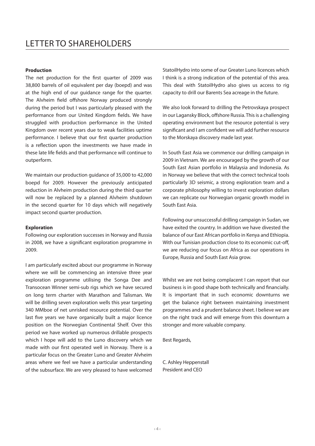#### **Production**

The net production for the first quarter of 2009 was 38,800 barrels of oil equivalent per day (boepd) and was at the high end of our guidance range for the quarter. The Alvheim field offshore Norway produced strongly during the period but I was particularly pleased with the performance from our United Kingdom fields. We have struggled with production performance in the United Kingdom over recent years due to weak facilities uptime performance. I believe that our first quarter production is a reflection upon the investments we have made in these late life fields and that performance will continue to outperform.

We maintain our production guidance of 35,000 to 42,000 boepd for 2009. However the previously anticipated reduction in Alvheim production during the third quarter will now be replaced by a planned Alvheim shutdown in the second quarter for 10 days which will negatively impact second quarter production.

#### **Exploration**

Following our exploration successes in Norway and Russia in 2008, we have a significant exploration programme in 2009.

I am particularly excited about our programme in Norway where we will be commencing an intensive three year exploration programme utilising the Songa Dee and Transocean Winner semi-sub rigs which we have secured on long term charter with Marathon and Talisman. We will be drilling seven exploration wells this year targeting 340 MMboe of net unrisked resource potential. Over the last five years we have organically built a major licence position on the Norwegian Continental Shelf. Over this period we have worked up numerous drillable prospects which I hope will add to the Luno discovery which we made with our first operated well in Norway. There is a particular focus on the Greater Luno and Greater Alvheim areas where we feel we have a particular understanding of the subsurface. We are very pleased to have welcomed StatoilHydro into some of our Greater Luno licences which I think is a strong indication of the potential of this area. This deal with StatoilHydro also gives us access to rig capacity to drill our Barents Sea acreage in the future.

We also look forward to drilling the Petrovskaya prospect in our Lagansky Block, offshore Russia. This is a challenging operating environment but the resource potential is very significant and I am confident we will add further resource to the Morskaya discovery made last year.

In South East Asia we commence our drilling campaign in 2009 in Vietnam. We are encouraged by the growth of our South East Asian portfolio in Malaysia and Indonesia. As in Norway we believe that with the correct technical tools particularly 3D seismic, a strong exploration team and a corporate philosophy willing to invest exploration dollars we can replicate our Norwegian organic growth model in South East Asia.

Following our unsuccessful drilling campaign in Sudan, we have exited the country. In addition we have divested the balance of our East African portfolio in Kenya and Ethiopia. With our Tunisian production close to its economic cut-off, we are reducing our focus on Africa as our operations in Europe, Russia and South East Asia grow.

Whilst we are not being complacent I can report that our business is in good shape both technically and financially. It is important that in such economic downturns we get the balance right between maintaining investment programmes and a prudent balance sheet. I believe we are on the right track and will emerge from this downturn a stronger and more valuable company.

Best Regards,

C. Ashley Heppenstall President and CEO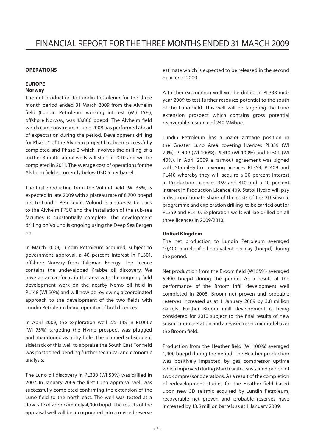#### **OPERATIONS**

### **EUROPE**

### **Norway**

The net production to Lundin Petroleum for the three month period ended 31 March 2009 from the Alvheim field (Lundin Petroleum working interest (WI) 15%), offshore Norway, was 13,800 boepd. The Alvheim field which came onstream in June 2008 has performed ahead of expectation during the period. Development drilling for Phase 1 of the Alvheim project has been successfully completed and Phase 2 which involves the drilling of a further 3 multi-lateral wells will start in 2010 and will be completed in 2011. The average cost of operations for the Alvheim field is currently below USD 5 per barrel.

The first production from the Volund field (WI 35%) is expected in late 2009 with a plateau rate of 8,700 boepd net to Lundin Petroleum. Volund is a sub-sea tie back to the Alvheim FPSO and the installation of the sub-sea facilities is substantially complete. The development drilling on Volund is ongoing using the Deep Sea Bergen rig.

In March 2009, Lundin Petroleum acquired, subject to government approval, a 40 percent interest in PL301, offshore Norway from Talisman Energy. The licence contains the undeveloped Krabbe oil discovery. We have an active focus in the area with the ongoing field development work on the nearby Nemo oil field in PL148 (WI 50%) and will now be reviewing a coordinated approach to the development of the two fields with Lundin Petroleum being operator of both licences.

In April 2009, the exploration well 2/5–14S in PL006c (WI 75%) targeting the Hyme prospect was plugged and abandoned as a dry hole. The planned subsequent sidetrack of this well to appraise the South East Tor field was postponed pending further technical and economic analysis.

The Luno oil discovery in PL338 (WI 50%) was drilled in 2007. In January 2009 the first Luno appraisal well was successfully completed confirming the extension of the Luno field to the north east. The well was tested at a flow rate of approximately 4,000 bopd. The results of the appraisal well will be incorporated into a revised reserve

estimate which is expected to be released in the second quarter of 2009.

A further exploration well will be drilled in PL338 midyear 2009 to test further resource potential to the south of the Luno field. This well will be targeting the Luno extension prospect which contains gross potential recoverable resource of 240 MMboe.

Lundin Petroleum has a major acreage position in the Greater Luno Area covering licences PL359 (WI 70%), PL409 (WI 100%), PL410 (WI 100%) and PL501 (WI 40%). In April 2009 a farmout agreement was signed with StatoilHydro covering licences PL359, PL409 and PL410 whereby they will acquire a 30 percent interest in Production Licences 359 and 410 and a 10 percent interest in Production Licence 409. StatoilHydro will pay a disproportionate share of the costs of the 3D seismic programme and exploration drilling to be carried out for PL359 and PL410. Exploration wells will be drilled on all three licences in 2009/2010.

#### **United Kingdom**

The net production to Lundin Petroleum averaged 10,400 barrels of oil equivalent per day (boepd) during the period.

Net production from the Broom field (WI 55%) averaged 5,400 boepd during the period. As a result of the performance of the Broom infill development well completed in 2008, Broom net proven and probable reserves increased as at 1 January 2009 by 3.8 million barrels. Further Broom infill development is being considered for 2010 subject to the final results of new seismic interpretation and a revised reservoir model over the Broom field.

Production from the Heather field (WI 100%) averaged 1,400 boepd during the period. The Heather production was positively impacted by gas compressor uptime which improved during March with a sustained period of two compressor operations. As a result of the completion of redevelopment studies for the Heather field based upon new 3D seismic acquired by Lundin Petroleum, recoverable net proven and probable reserves have increased by 13.5 million barrels as at 1 January 2009.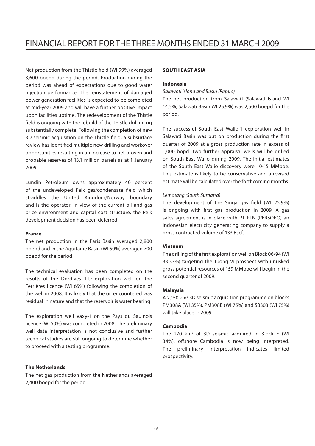Net production from the Thistle field (WI 99%) averaged 3,600 boepd during the period. Production during the period was ahead of expectations due to good water injection performance. The reinstatement of damaged power generation facilities is expected to be completed at mid-year 2009 and will have a further positive impact upon facilities uptime. The redevelopment of the Thistle field is ongoing with the rebuild of the Thistle drilling rig substantially complete. Following the completion of new 3D seismic acquisition on the Thistle field, a subsurface review has identified multiple new drilling and workover opportunities resulting in an increase to net proven and probable reserves of 13.1 million barrels as at 1 January 2009.

Lundin Petroleum owns approximately 40 percent of the undeveloped Peik gas/condensate field which straddles the United Kingdom/Norway boundary and is the operator. In view of the current oil and gas price environment and capital cost structure, the Peik development decision has been deferred.

#### **France**

The net production in the Paris Basin averaged 2,800 boepd and in the Aquitaine Basin (WI 50%) averaged 700 boepd for the period.

The technical evaluation has been completed on the results of the Dordives 1-D exploration well on the Ferrières licence (WI 65%) following the completion of the well in 2008. It is likely that the oil encountered was residual in nature and that the reservoir is water bearing.

The exploration well Vaxy-1 on the Pays du Saulnois licence (WI 50%) was completed in 2008. The preliminary well data interpretation is not conclusive and further technical studies are still ongoing to determine whether to proceed with a testing programme.

### **The Netherlands**

The net gas production from the Netherlands averaged 2,400 boepd for the period.

### **SOUTH EAST ASIA**

#### **Indonesia**

*Salawati Island and Basin (Papua)*

The net production from Salawati (Salawati Island WI 14.5%, Salawati Basin WI 25.9%) was 2,500 boepd for the period.

The successful South East Walio-1 exploration well in Salawati Basin was put on production during the first quarter of 2009 at a gross production rate in excess of 1,000 bopd. Two further appraisal wells will be drilled on South East Walio during 2009. The initial estimates of the South East Walio discovery were 10-15 MMboe. This estimate is likely to be conservative and a revised estimate will be calculated over the forthcoming months.

### *Lematang (South Sumatra)*

The development of the Singa gas field (WI 25.9%) is ongoing with first gas production in 2009. A gas sales agreement is in place with PT PLN (PERSORO) an Indonesian electricity generating company to supply a gross contracted volume of 133 Bscf.

#### **Vietnam**

The drilling of the first exploration well on Block 06/94 (WI 33.33%) targeting the Tuong Vi prospect with unrisked gross potential resources of 159 MMboe will begin in the second quarter of 2009.

#### **Malaysia**

A 2,150 km<sup>2</sup> 3D seismic acquisition programme on blocks PM308A (WI 35%), PM308B (WI 75%) and SB303 (WI 75%) will take place in 2009.

#### **Cambodia**

The 270 km<sup>2</sup> of 3D seismic acquired in Block E (WI 34%), offshore Cambodia is now being interpreted. The preliminary interpretation indicates limited prospectivity.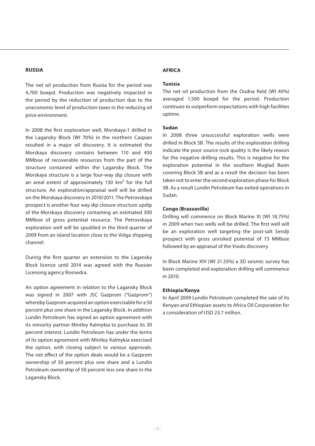#### **RUSSIA**

The net oil production from Russia for the period was 4,700 boepd. Production was negatively impacted in the period by the reduction of production due to the uneconomic level of production taxes in the reducing oil price environment.

In 2008 the first exploration well, Morskaya-1 drilled in the Lagansky Block (WI 70%) in the northern Caspian resulted in a major oil discovery. It is estimated the Morskaya discovery contains between 110 and 450 MMboe of recoverable resources from the part of the structure contained within the Lagansky Block. The Morskaya structure is a large four-way dip closure with an areal extent of approximately 130 km² for the full structure. An exploration/appraisal well will be drilled on the Morskaya discovery in 2010/2011. The Petrovskaya prospect is another four way dip closure structure updip of the Morskaya discovery containing an estimated 300 MMboe of gross potential resource. The Petrovskaya exploration well will be spudded in the third quarter of 2009 from an island location close to the Volga shipping channel.

During the first quarter an extension to the Lagansky Block licence until 2014 was agreed with the Russian Licensing agency Rosnedra.

An option agreement in relation to the Lagansky Block was signed in 2007 with JSC Gazprom ("Gazprom") whereby Gazprom acquired an option exercisable for a 50 percent plus one share in the Lagansky Block. In addition Lundin Petroleum has signed an option agreement with its minority partner Mintley Kalmykia to purchase its 30 percent interest. Lundin Petroleum has under the terms of its option agreement with Mintley Kalmykia exercised the option, with closing subject to various approvals. The net effect of the option deals would be a Gazprom ownership of 50 percent plus one share and a Lundin Petroleum ownership of 50 percent less one share in the Lagansky Block.

### **AFRICA**

### **Tunisia**

The net oil production from the Oudna field (WI 40%) averaged 1,500 boepd for the period. Production continues to outperform expectations with high facilities uptime.

#### **Sudan**

In 2008 three unsuccessful exploration wells were drilled in Block 5B. The results of the exploration drilling indicate the poor source rock quality is the likely reason for the negative drilling results. This is negative for the exploration potential in the southern Muglad Basin covering Block 5B and as a result the decision has been taken not to enter the second exploration phase for Block 5B. As a result Lundin Petroleum has exited operations in Sudan.

#### **Congo (Brazzaville)**

Drilling will commence on Block Marine XI (WI 18.75%) in 2009 when two wells will be drilled. The first well will be an exploration well targeting the post-salt Sendji prospect with gross unrisked potential of 73 MMboe followed by an appraisal of the Viodo discovery.

In Block Marine XIV (WI 21.55%) a 3D seismic survey has been completed and exploration drilling will commence in 2010.

#### **Ethiopia/Kenya**

In April 2009 Lundin Petroleum completed the sale of its Kenyan and Ethiopian assets to Africa Oil Corporation for a consideration of USD 23.7 million.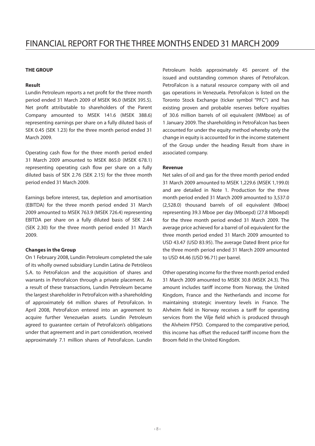#### **THE GROUP**

#### **Result**

Lundin Petroleum reports a net profit for the three month period ended 31 March 2009 of MSEK 96.0 (MSEK 395.5). Net profit attributable to shareholders of the Parent Company amounted to MSEK 141.6 (MSEK 388.6) representing earnings per share on a fully diluted basis of SEK 0.45 (SEK 1.23) for the three month period ended 31 March 2009.

Operating cash flow for the three month period ended 31 March 2009 amounted to MSEK 865.0 (MSEK 678.1) representing operating cash flow per share on a fully diluted basis of SEK 2.76 (SEK 2.15) for the three month period ended 31 March 2009.

Earnings before interest, tax, depletion and amortisation (EBITDA) for the three month period ended 31 March 2009 amounted to MSEK 763.9 (MSEK 726.4) representing EBITDA per share on a fully diluted basis of SEK 2.44 (SEK 2.30) for the three month period ended 31 March 2009.

#### **Changes in the Group**

On 1 February 2008, Lundin Petroleum completed the sale of its wholly owned subsidiary Lundin Latina de Petróleos S.A. to PetroFalcon and the acquisition of shares and warrants in PetroFalcon through a private placement. As a result of these transactions, Lundin Petroleum became the largest shareholder in PetroFalcon with a shareholding of approximately 64 million shares of PetroFalcon. In April 2008, PetroFalcon entered into an agreement to acquire further Venezuelan assets. Lundin Petroleum agreed to guarantee certain of PetroFalcon's obligations under that agreement and in part consideration, received approximately 7.1 million shares of PetroFalcon. Lundin Petroleum holds approximately 45 percent of the issued and outstanding common shares of PetroFalcon. PetroFalcon is a natural resource company with oil and gas operations in Venezuela. PetroFalcon is listed on the Toronto Stock Exchange (ticker symbol "PFC") and has existing proven and probable reserves before royalties of 30.6 million barrels of oil equivalent (MMboe) as of 1 January 2009. The shareholding in PetroFalcon has been accounted for under the equity method whereby only the change in equity is accounted for in the income statement of the Group under the heading Result from share in associated company.

#### **Revenue**

Net sales of oil and gas for the three month period ended 31 March 2009 amounted to MSEK 1,229.6 (MSEK 1,199.0) and are detailed in Note 1. Production for the three month period ended 31 March 2009 amounted to 3,537.0 (2,528.0) thousand barrels of oil equivalent (Mboe) representing 39.3 Mboe per day (Mboepd) (27.8 Mboepd) for the three month period ended 31 March 2009. The average price achieved for a barrel of oil equivalent for the three month period ended 31 March 2009 amounted to USD 43.47 (USD 83.95). The average Dated Brent price for the three month period ended 31 March 2009 amounted to USD 44.46 (USD 96.71) per barrel.

Other operating income for the three month period ended 31 March 2009 amounted to MSEK 30.8 (MSEK 24.3). This amount includes tariff income from Norway, the United Kingdom, France and the Netherlands and income for maintaining strategic inventory levels in France. The Alvheim field in Norway receives a tariff for operating services from the Vilje field which is produced through the Alvheim FPSO. Compared to the comparative period, this income has offset the reduced tariff income from the Broom field in the United Kingdom.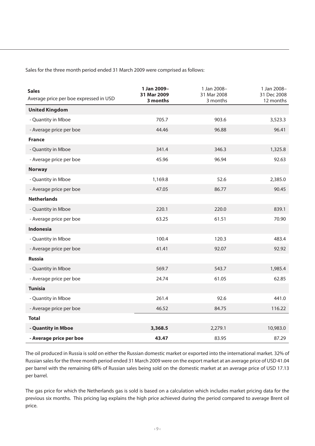Sales for the three month period ended 31 March 2009 were comprised as follows:

| <b>Sales</b><br>Average price per boe expressed in USD | 1 Jan 2009-<br>31 Mar 2009<br>3 months | 1 Jan 2008-<br>31 Mar 2008<br>3 months | 1 Jan 2008-<br>31 Dec 2008<br>12 months |
|--------------------------------------------------------|----------------------------------------|----------------------------------------|-----------------------------------------|
| <b>United Kingdom</b>                                  |                                        |                                        |                                         |
| - Quantity in Mboe                                     | 705.7                                  | 903.6                                  | 3,523.3                                 |
| - Average price per boe                                | 44.46                                  | 96.88                                  | 96.41                                   |
| <b>France</b>                                          |                                        |                                        |                                         |
| - Quantity in Mboe                                     | 341.4                                  | 346.3                                  | 1,325.8                                 |
| - Average price per boe                                | 45.96                                  | 96.94                                  | 92.63                                   |
| <b>Norway</b>                                          |                                        |                                        |                                         |
| - Quantity in Mboe                                     | 1,169.8                                | 52.6                                   | 2,385.0                                 |
| - Average price per boe                                | 47.05                                  | 86.77                                  | 90.45                                   |
| <b>Netherlands</b>                                     |                                        |                                        |                                         |
| - Quantity in Mboe                                     | 220.1                                  | 220.0                                  | 839.1                                   |
| - Average price per boe                                | 63.25                                  | 61.51                                  | 70.90                                   |
| Indonesia                                              |                                        |                                        |                                         |
| - Quantity in Mboe                                     | 100.4                                  | 120.3                                  | 483.4                                   |
| - Average price per boe                                | 41.41                                  | 92.07                                  | 92.92                                   |
| <b>Russia</b>                                          |                                        |                                        |                                         |
| - Quantity in Mboe                                     | 569.7                                  | 543.7                                  | 1,985.4                                 |
| - Average price per boe                                | 24.74                                  | 61.05                                  | 62.85                                   |
| <b>Tunisia</b>                                         |                                        |                                        |                                         |
| - Quantity in Mboe                                     | 261.4                                  | 92.6                                   | 441.0                                   |
| - Average price per boe                                | 46.52                                  | 84.75                                  | 116.22                                  |
| <b>Total</b>                                           |                                        |                                        |                                         |
| - Quantity in Mboe                                     | 3,368.5                                | 2,279.1                                | 10,983.0                                |
| - Average price per boe                                | 43.47                                  | 83.95                                  | 87.29                                   |

The oil produced in Russia is sold on either the Russian domestic market or exported into the international market. 32% of Russian sales for the three month period ended 31 March 2009 were on the export market at an average price of USD 41.04 per barrel with the remaining 68% of Russian sales being sold on the domestic market at an average price of USD 17.13 per barrel.

The gas price for which the Netherlands gas is sold is based on a calculation which includes market pricing data for the previous six months. This pricing lag explains the high price achieved during the period compared to average Brent oil price.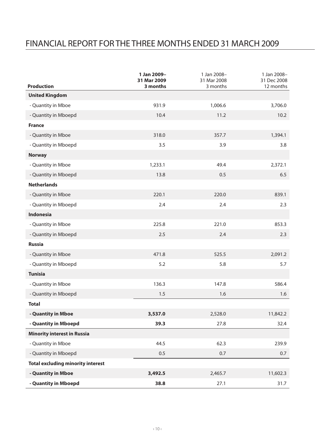## Financial report for the THREE months ended 31 MARCH 2009

|                                          | 1 Jan 2009-<br>31 Mar 2009 | 1 Jan 2008-<br>31 Mar 2008 | 1 Jan 2008-<br>31 Dec 2008 |
|------------------------------------------|----------------------------|----------------------------|----------------------------|
| Production                               | 3 months                   | 3 months                   | 12 months                  |
| <b>United Kingdom</b>                    |                            |                            |                            |
| - Quantity in Mboe                       | 931.9                      | 1,006.6                    | 3,706.0                    |
| - Quantity in Mboepd                     | 10.4                       | 11.2                       | 10.2                       |
| France                                   |                            |                            |                            |
| - Quantity in Mboe                       | 318.0                      | 357.7                      | 1,394.1                    |
| - Quantity in Mboepd                     | 3.5                        | 3.9                        | 3.8                        |
| <b>Norway</b>                            |                            |                            |                            |
| - Quantity in Mboe                       | 1,233.1                    | 49.4                       | 2,372.1                    |
| - Quantity in Mboepd                     | 13.8                       | 0.5                        | 6.5                        |
| <b>Netherlands</b>                       |                            |                            |                            |
| - Quantity in Mboe                       | 220.1                      | 220.0                      | 839.1                      |
| - Quantity in Mboepd                     | 2.4                        | 2.4                        | 2.3                        |
| <b>Indonesia</b>                         |                            |                            |                            |
| - Quantity in Mboe                       | 225.8                      | 221.0                      | 853.3                      |
| - Quantity in Mboepd                     | 2.5                        | 2.4                        | 2.3                        |
| <b>Russia</b>                            |                            |                            |                            |
| - Quantity in Mboe                       | 471.8                      | 525.5                      | 2,091.2                    |
| - Quantity in Mboepd                     | 5.2                        | 5.8                        | 5.7                        |
| <b>Tunisia</b>                           |                            |                            |                            |
| - Quantity in Mboe                       | 136.3                      | 147.8                      | 586.4                      |
| - Quantity in Mboepd                     | 1.5                        | 1.6                        | 1.6                        |
| <b>Total</b>                             |                            |                            |                            |
| - Quantity in Mboe                       | 3,537.0                    | 2,528.0                    | 11,842.2                   |
| - Quantity in Mboepd                     | 39.3                       | 27.8                       | 32.4                       |
| <b>Minority interest in Russia</b>       |                            |                            |                            |
| - Quantity in Mboe                       | 44.5                       | 62.3                       | 239.9                      |
| - Quantity in Mboepd                     | 0.5                        | 0.7                        | 0.7                        |
| <b>Total excluding minority interest</b> |                            |                            |                            |
| - Quantity in Mboe                       | 3,492.5                    | 2,465.7                    | 11,602.3                   |
| - Quantity in Mboepd                     | 38.8                       | 27.1                       | 31.7                       |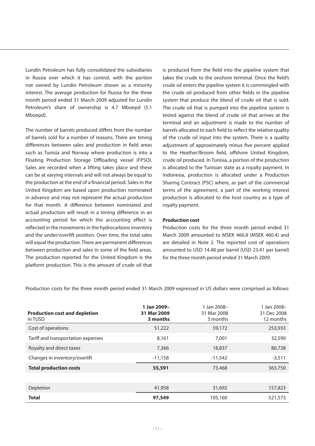Lundin Petroleum has fully consolidated the subsidiaries in Russia over which it has control, with the portion not owned by Lundin Petroleum shown as a minority interest. The average production for Russia for the three month period ended 31 March 2009 adjusted for Lundin Petroleum's share of ownership is 4.7 Mboepd (5.1 Mboepd).

The number of barrels produced differs from the number of barrels sold for a number of reasons. There are timing differences between sales and production in field areas such as Tunisia and Norway where production is into a Floating Production Storage Offloading vessel (FPSO). Sales are recorded when a lifting takes place and these can be at varying intervals and will not always be equal to the production at the end of a financial period. Sales in the United Kingdom are based upon production nominated in advance and may not represent the actual production for that month. A difference between nominated and actual production will result in a timing difference in an accounting period for which the accounting effect is reflected in the movements in the hydrocarbons inventory and the under/overlift position. Over time, the total sales will equal the production. There are permanent differences between production and sales in some of the field areas. The production reported for the United Kingdom is the platform production. This is the amount of crude oil that is produced from the field into the pipeline system that takes the crude to the onshore terminal. Once the field's crude oil enters the pipeline system it is commingled with the crude oil produced from other fields in the pipeline system that produce the blend of crude oil that is sold. The crude oil that is pumped into the pipeline system is tested against the blend of crude oil that arrives at the terminal and an adjustment is made to the number of barrels allocated to each field to reflect the relative quality of the crude oil input into the system. There is a quality adjustment of approximately minus five percent applied to the Heather/Broom field, offshore United Kingdom, crude oil produced. In Tunisia, a portion of the production is allocated to the Tunisian state as a royalty payment. In Indonesia, production is allocated under a Production Sharing Contract (PSC) where, as part of the commercial terms of the agreement, a part of the working interest production is allocated to the host country as a type of royalty payment.

#### **Production cost**

Production costs for the three month period ended 31 March 2009 amounted to MSEK 466.8 (MSEK 460.4) and are detailed in Note 2. The reported cost of operations amounted to USD 14.48 per barrel (USD 23.41 per barrel) for the three month period ended 31 March 2009.

| <b>Production cost and depletion</b><br>in TUSD | 1 Jan 2009-<br>31 Mar 2009<br>3 months | 1 Jan 2008-<br>31 Mar 2008<br>3 months | 1 Jan 2008-<br>31 Dec 2008<br>12 months |
|-------------------------------------------------|----------------------------------------|----------------------------------------|-----------------------------------------|
| Cost of operations                              | 51,222                                 | 59,172                                 | 253,933                                 |
| Tariff and transportation expenses              | 8.161                                  | 7.001                                  | 32,590                                  |
| Royalty and direct taxes                        | 7,366                                  | 18,837                                 | 80,738                                  |
| Changes in inventory/overlift                   | $-11.158$                              | $-11.542$                              | $-3,511$                                |
| <b>Total production costs</b>                   | 55,591                                 | 73,468                                 | 363,750                                 |
|                                                 |                                        |                                        |                                         |
| Depletion                                       | 41,958                                 | 31.692                                 | 157,823                                 |
| <b>Total</b>                                    | 97,549                                 | 105,160                                | 521.573                                 |

Production costs for the three month period ended 31 March 2009 expressed in US dollars were comprised as follows: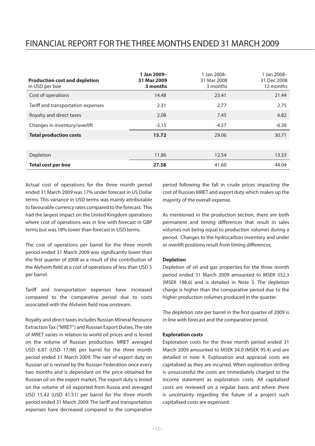## Financial report for the THREE months ended 31 MARCH 2009

| <b>Production cost and depletion</b><br>in USD per boe | 1 Jan 2009-<br>31 Mar 2009<br>3 months | 1 Jan 2008-<br>31 Mar 2008<br>3 months | 1 Jan 2008-<br>31 Dec 2008<br>12 months |
|--------------------------------------------------------|----------------------------------------|----------------------------------------|-----------------------------------------|
| Cost of operations                                     | 14.48                                  | 23.41                                  | 21.44                                   |
| Tariff and transportation expenses                     | 2.31                                   | 2.77                                   | 2.75                                    |
| Royalty and direct taxes                               | 2.08                                   | 7.45                                   | 6.82                                    |
| Changes in inventory/overlift                          | $-3.15$                                | $-4.57$                                | $-0.30$                                 |
| <b>Total production costs</b>                          | 15.72                                  | 29.06                                  | 30.71                                   |
|                                                        |                                        |                                        |                                         |
| Depletion                                              | 11.86                                  | 12.54                                  | 13.33                                   |
| <b>Total cost per boe</b>                              | 27.58                                  | 41.60                                  | 44.04                                   |

Actual cost of operations for the three month period ended 31 March 2009 was 17% under forecast in US Dollar terms. This variance in USD terms was mainly attributable to favourable currency rates compared to the forecast. This had the largest impact on the United Kingdom operations where cost of operations was in line with forecast in GBP terms but was 18% lower than forecast in USD terms.

The cost of operations per barrel for the three month period ended 31 March 2009 was significantly lower than the first quarter of 2008 as a result of the contribution of the Alvheim field at a cost of operations of less than USD 5 per barrel.

Tariff and transportation expenses have increased compared to the comparative period due to costs associated with the Alvheim field now onstream.

Royalty and direct taxes includes Russian Mineral Resource Extraction Tax ("MRET") and Russian Export Duties. The rate of MRET varies in relation to world oil prices and is levied on the volume of Russian production. MRET averaged USD 6.87 (USD 17.98) per barrel for the three month period ended 31 March 2009. The rate of export duty on Russian oil is revised by the Russian Federation once every two months and is dependant on the price obtained for Russian oil on the export market. The export duty is levied on the volume of oil exported from Russia and averaged USD 15.42 (USD 41.51) per barrel for the three month period ended 31 March 2009. The tariff and transportation expenses have decreased compared to the comparative

period following the fall in crude prices impacting the cost of Russian MRET and export duty which makes up the majority of the overall expense.

As mentioned in the production section, there are both permanent and timing differences that result in sales volumes not being equal to production volumes during a period. Changes to the hydrocarbon inventory and under or overlift positions result from timing differences.

#### **Depletion**

Depletion of oil and gas properties for the three month period ended 31 March 2009 amounted to MSEK 352.3 (MSEK 198.6) and is detailed in Note 3. The depletion charge is higher than the comparative period due to the higher production volumes produced in the quarter.

The depletion rate per barrel in the first quarter of 2009 is in line with forecast and the comparative period.

#### **Exploration costs**

Exploration costs for the three month period ended 31 March 2009 amounted to MSEK 34.0 (MSEK 95.4) and are detailed in note 4. Exploration and appraisal costs are capitalised as they are incurred. When exploration drilling is unsuccessful the costs are immediately charged to the income statement as exploration costs. All capitalised costs are reviewed on a regular basis and where there is uncertainty regarding the future of a project such capitalised costs are expensed.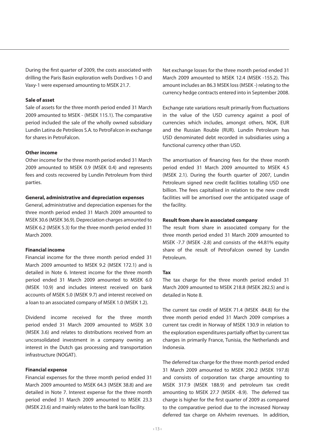During the first quarter of 2009, the costs associated with drilling the Paris Basin exploration wells Dordives 1-D and Vaxy-1 were expensed amounting to MSEK 21.7.

#### **Sale of asset**

Sale of assets for the three month period ended 31 March 2009 amounted to MSEK - (MSEK 115.1). The comparative period included the sale of the wholly owned subsidiary Lundin Latina de Petróleos S.A. to PetroFalcon in exchange for shares in PetroFalcon.

#### **Other income**

Other income for the three month period ended 31 March 2009 amounted to MSEK 0.9 (MSEK 0.4) and represents fees and costs recovered by Lundin Petroleum from third parties.

#### **General, administrative and depreciation expenses**

General, administrative and depreciation expenses for the three month period ended 31 March 2009 amounted to MSEK 30.6 (MSEK 36.9). Depreciation charges amounted to MSEK 6.2 (MSEK 5.3) for the three month period ended 31 March 2009.

#### **Financial income**

Financial income for the three month period ended 31 March 2009 amounted to MSEK 9.2 (MSEK 172.1) and is detailed in Note 6. Interest income for the three month period ended 31 March 2009 amounted to MSEK 6.0 (MSEK 10.9) and includes interest received on bank accounts of MSEK 5.0 (MSEK 9.7) and interest received on a loan to an associated company of MSEK 1.0 (MSEK 1.2).

Dividend income received for the three month period ended 31 March 2009 amounted to MSEK 3.0 (MSEK 3.6) and relates to distributions received from an unconsolidated investment in a company owning an interest in the Dutch gas processing and transportation infrastructure (NOGAT).

#### **Financial expense**

Financial expenses for the three month period ended 31 March 2009 amounted to MSEK 64.3 (MSEK 38.8) and are detailed in Note 7. Interest expense for the three month period ended 31 March 2009 amounted to MSEK 23.3 (MSEK 23.6) and mainly relates to the bank loan facility.

Net exchange losses for the three month period ended 31 March 2009 amounted to MSEK 12.4 (MSEK -155.2). This amount includes an 86.3 MSEK loss (MSEK -) relating to the currency hedge contracts entered into in September 2008.

Exchange rate variations result primarily from fluctuations in the value of the USD currency against a pool of currencies which includes, amongst others, NOK, EUR and the Russian Rouble (RUR). Lundin Petroleum has USD denominated debt recorded in subsidiaries using a functional currency other than USD.

The amortisation of financing fees for the three month period ended 31 March 2009 amounted to MSEK 4.5 (MSEK 2.1). During the fourth quarter of 2007, Lundin Petroleum signed new credit facilities totalling USD one billion. The fees capitalised in relation to the new credit facilities will be amortised over the anticipated usage of the facility.

#### **Result from share in associated company**

The result from share in associated company for the three month period ended 31 March 2009 amounted to MSEK -7.7 (MSEK -2.8) and consists of the 44.81% equity share of the result of PetroFalcon owned by Lundin Petroleum.

#### **Tax**

The tax charge for the three month period ended 31 March 2009 amounted to MSEK 218.8 (MSEK 282.5) and is detailed in Note 8.

The current tax credit of MSEK 71.4 (MSEK -84.8) for the three month period ended 31 March 2009 comprises a current tax credit in Norway of MSEK 130.9 in relation to the exploration expenditures partially offset by current tax charges in primarily France, Tunisia, the Netherlands and Indonesia.

The deferred tax charge for the three month period ended 31 March 2009 amounted to MSEK 290.2 (MSEK 197.8) and consists of corporation tax charge amounting to MSEK 317.9 (MSEK 188.9) and petroleum tax credit amounting to MSEK 27.7 (MSEK -8.9). The deferred tax charge is higher for the first quarter of 2009 as compared to the comparative period due to the increased Norway deferred tax charge on Alvheim revenues. In addition,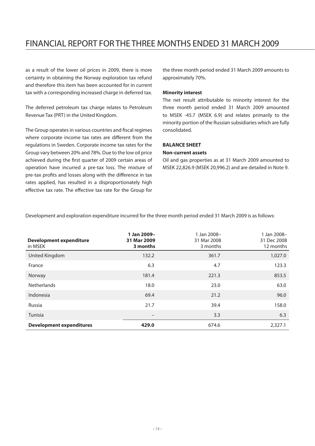## Financial report for the THREE months ended 31 MARCH 2009

as a result of the lower oil prices in 2009, there is more certainty in obtaining the Norway exploration tax refund and therefore this item has been accounted for in current tax with a corresponding increased charge in deferred tax.

The deferred petroleum tax charge relates to Petroleum Revenue Tax (PRT) in the United Kingdom.

The Group operates in various countries and fiscal regimes where corporate income tax rates are different from the regulations in Sweden. Corporate income tax rates for the Group vary between 20% and 78%. Due to the low oil price achieved during the first quarter of 2009 certain areas of operation have incurred a pre-tax loss. The mixture of pre-tax profits and losses along with the difference in tax rates applied, has resulted in a disproportionately high effective tax rate. The effective tax rate for the Group for

the three month period ended 31 March 2009 amounts to approximately 70%.

#### **Minority interest**

The net result attributable to minority interest for the three month period ended 31 March 2009 amounted to MSEK -45.7 (MSEK 6.9) and relates primarily to the minority portion of the Russian subsidiaries which are fully consolidated.

### **BALANCE SHEET**

#### **Non-current assets**

Oil and gas properties as at 31 March 2009 amounted to MSEK 22,826.9 (MSEK 20,996.2) and are detailed in Note 9.

| <b>Development expenditure</b><br>in MSEK | 1 Jan 2009-<br>31 Mar 2009<br>3 months | 1 Jan 2008-<br>31 Mar 2008<br>3 months | 1 Jan 2008-<br>31 Dec 2008<br>12 months |
|-------------------------------------------|----------------------------------------|----------------------------------------|-----------------------------------------|
| United Kingdom                            | 132.2                                  | 361.7                                  | 1,027.0                                 |
| France                                    | 6.3                                    | 4.7                                    | 123.3                                   |
| Norway                                    | 181.4                                  | 221.3                                  | 853.5                                   |
| Netherlands                               | 18.0                                   | 23.0                                   | 63.0                                    |
| Indonesia                                 | 69.4                                   | 21.2                                   | 96.0                                    |
| Russia                                    | 21.7                                   | 39.4                                   | 158.0                                   |
| Tunisia                                   |                                        | 3.3                                    | 6.3                                     |
| <b>Development expenditures</b>           | 429.0                                  | 674.6                                  | 2.327.1                                 |

Development and exploration expenditure incurred for the three month period ended 31 March 2009 is as follows: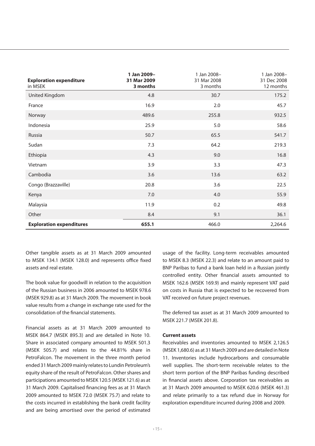| <b>Exploration expenditure</b><br>in MSEK | 1 Jan 2009-<br>31 Mar 2009<br>3 months | 1 Jan 2008-<br>31 Mar 2008<br>3 months | 1 Jan 2008-<br>31 Dec 2008<br>12 months |
|-------------------------------------------|----------------------------------------|----------------------------------------|-----------------------------------------|
| United Kingdom                            | 4.8                                    | 30.7                                   | 175.2                                   |
| France                                    | 16.9                                   | 2.0                                    | 45.7                                    |
| Norway                                    | 489.6                                  | 255.8                                  | 932.5                                   |
| Indonesia                                 | 25.9                                   | 5.0                                    | 58.6                                    |
| Russia                                    | 50.7                                   | 65.5                                   | 541.7                                   |
| Sudan                                     | 7.3                                    | 64.2                                   | 219.3                                   |
| Ethiopia                                  | 4.3                                    | 9.0                                    | 16.8                                    |
| Vietnam                                   | 3.9                                    | 3.3                                    | 47.3                                    |
| Cambodia                                  | 3.6                                    | 13.6                                   | 63.2                                    |
| Congo (Brazzaville)                       | 20.8                                   | 3.6                                    | 22.5                                    |
| Kenya                                     | 7.0                                    | 4.0                                    | 55.9                                    |
| Malaysia                                  | 11.9                                   | 0.2                                    | 49.8                                    |
| Other                                     | 8.4                                    | 9.1                                    | 36.1                                    |
| <b>Exploration expenditures</b>           | 655.1                                  | 466.0                                  | 2,264.6                                 |

Other tangible assets as at 31 March 2009 amounted to MSEK 134.1 (MSEK 128.0) and represents office fixed assets and real estate.

The book value for goodwill in relation to the acquisition of the Russian business in 2006 amounted to MSEK 978.6 (MSEK 929.8) as at 31 March 2009. The movement in book value results from a change in exchange rate used for the consolidation of the financial statements.

Financial assets as at 31 March 2009 amounted to MSEK 864.7 (MSEK 895.3) and are detailed in Note 10. Share in associated company amounted to MSEK 501.3 (MSEK 505.7) and relates to the 44.81% share in PetroFalcon. The movement in the three month period ended 31 March 2009 mainly relates to Lundin Petroleum's equity share of the result of PetroFalcon. Other shares and participations amounted to MSEK 120.5 (MSEK 121.6) as at 31 March 2009. Capitalised financing fees as at 31 March 2009 amounted to MSEK 72.0 (MSEK 75.7) and relate to the costs incurred in establishing the bank credit facility and are being amortised over the period of estimated usage of the facility. Long-term receivables amounted to MSEK 8.3 (MSEK 22.3) and relate to an amount paid to BNP Paribas to fund a bank loan held in a Russian jointly controlled entity. Other financial assets amounted to MSEK 162.6 (MSEK 169.9) and mainly represent VAT paid on costs in Russia that is expected to be recovered from VAT received on future project revenues.

The deferred tax asset as at 31 March 2009 amounted to MSEK 221.7 (MSEK 201.8).

#### **Current assets**

Receivables and inventories amounted to MSEK 2,126.5 (MSEK 1,680.6) as at 31 March 2009 and are detailed in Note 11. Inventories include hydrocarbons and consumable well supplies. The short-term receivable relates to the short term portion of the BNP Paribas funding described in financial assets above. Corporation tax receivables as at 31 March 2009 amounted to MSEK 620.6 (MSEK 461.3) and relate primarily to a tax refund due in Norway for exploration expenditure incurred during 2008 and 2009.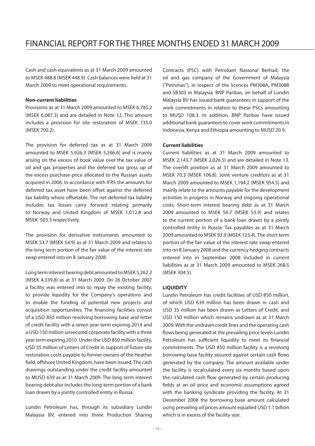Cash and cash equivalents as at 31 March 2009 amounted to MSEK 488.8 (MSEK 448.9). Cash balances were held at 31 March 2009 to meet operational requirements.

#### **Non-current liabilities**

Provisions as at 31 March 2009 amounted to MSEK 6,785.2 (MSEK 6,087.3) and are detailed in Note 12. This amount includes a provision for site restoration of MSEK 735.0 (MSEK 700.2).

The provision for deferred tax as at 31 March 2009 amounted to MSEK 5,926.3 (MSEK 5,266.6) and is mainly arising on the excess of book value over the tax value of oil and gas properties and the deferred tax gross up of the excess purchase price allocated to the Russian assets acquired in 2006. In accordance with IFRS the amounts for deferred tax asset have been offset against the deferred tax liability where offsetable. The net deferred tax liability includes tax losses carry forward relating primarily to Norway and United Kingdom of MSEK 1,012.8 and MSEK 503.3 respectively.

The provision for derivative instruments amounted to MSEK 53.7 (MSEK 54.9) as at 31 March 2009 and relates to the long term portion of the fair value of the interest rate swap entered into on 8 January 2008.

Long term interest bearing debt amounted to MSEK 5,262.2 (MSEK 4,339.8) as at 31 March 2009. On 26 October 2007 a facility was entered into to repay the existing facility, to provide liquidity for the Company's operations and to enable the funding of potential new projects and acquisition opportunities. The financing facilities consist of a USD 850 million revolving borrowing base and letter of credit facility with a seven year term expiring 2014 and a USD 150 million unsecured corporate facility with a three year term expiring 2010. Under the USD 850 million facility, USD 35 million of Letters of Credit in support of future site restoration costs payable to former owners of the Heather field, offshore United Kingdom, have been issued. The cash drawings outstanding under the credit facility amounted to MUSD 639 as at 31 March 2009. The long term interest bearing debt also includes the long-term portion of a bank loan drawn by a jointly controlled entity in Russia.

Lundin Petroleum has, through its subsidiary Lundin Malaysia BV, entered into three Production Sharing

Contracts (PSC) with Petroliam Nasional Berhad, the oil and gas company of the Government of Malaysia ("Petronas"), in respect of the licences PM308A, PM308B and SB303 in Malaysia. BNP Paribas, on behalf of Lundin Malaysia BV has issued bank guarantees in support of the work commitments in relation to these PSCs amounting to MUSD 108.3. In addition, BNP Paribas have issued additional bank guarantees to cover work commitments in Indonesia, Kenya and Ethiopia amounting to MUSD 20.9.

#### **Current liabilities**

Current liabilities as at 31 March 2009 amounted to MSEK 2,143.7 (MSEK 2,026.5) and are detailed in Note 13. The overlift position as at 31 March 2009 amounted to MSEK 70.3 (MSEK 106.8). Joint venture creditors as at 31 March 2009 amounted to MSEK 1,194.2 (MSEK 954.5) and mainly relate to the amounts payable for the development activities in progress in Norway and ongoing operational costs. Short-term interest bearing debt as at 31 March 2009 amounted to MSEK 56.7 (MSEK 53.9) and relates to the current portion of a bank loan drawn by a jointly controlled entity in Russia. Tax payables as at 31 March 2009 amounted to MSEK 93.9 (MSEK 123.4). The short term portion of the fair value of the interest rate swap entered into on 8 January 2008 and the currency hedging contracts entered into in September 2008 included in current liabilities as at 31 March 2009 amounted to MSEK 268.5 (MSEK 304.5).

#### **LIQUIDITY**

Lundin Petroleum has credit facilities of USD 850 million, of which USD 639 million has been drawn in cash and USD 35 million has been drawn as Letters of Credit, and USD 150 million which remains undrawn as at 31 March 2009. With the undrawn credit lines and the operating cash flows being generated at the prevailing price levels Lundin Petroleum has sufficient liquidity to meet its financial commitments. The USD 850 million facility is a revolving borrowing base facility secured against certain cash flows generated by the company. The amount available under the facility is recalculated every six months based upon the calculated cash flow generated by certain producing fields at an oil price and economic assumptions agreed with the banking syndicate providing the facility. At 31 December 2008 the borrowing base amount calculated using prevailing oil prices amount equalled USD 1.1 billion which is in excess of the facility size.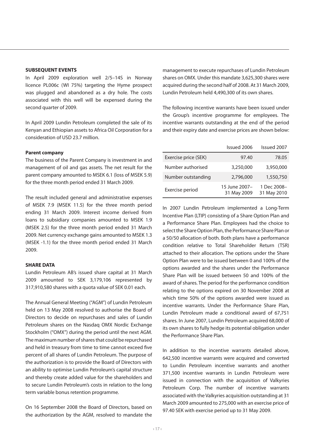In April 2009 exploration well 2/5–14S in Norway licence PL006c (WI 75%) targeting the Hyme prospect was plugged and abandoned as a dry hole. The costs associated with this well will be expensed during the second quarter of 2009.

In April 2009 Lundin Petroleum completed the sale of its Kenyan and Ethiopian assets to Africa Oil Corporation for a consideration of USD 23.7 million.

### **Parent company**

The business of the Parent Company is investment in and management of oil and gas assets. The net result for the parent company amounted to MSEK 6.1 (loss of MSEK 5.9) for the three month period ended 31 March 2009.

The result included general and administrative expenses of MSEK 7.9 (MSEK 11.5) for the three month period ending 31 March 2009. Interest income derived from loans to subsidiary companies amounted to MSEK 1.9 (MSEK 2.5) for the three month period ended 31 March 2009. Net currency exchange gains amounted to MSEK 1.3 (MSEK -1.1) for the three month period ended 31 March 2009.

### **SHARE DATA**

Lundin Petroleum AB's issued share capital at 31 March 2009 amounted to SEK 3,179,106 represented by 317,910,580 shares with a quota value of SEK 0.01 each.

The Annual General Meeting ("AGM") of Lundin Petroleum held on 13 May 2008 resolved to authorise the Board of Directors to decide on repurchases and sales of Lundin Petroleum shares on the Nasdaq OMX Nordic Exchange Stockholm ("OMX") during the period until the next AGM. The maximum number of shares that could be repurchased and held in treasury from time to time cannot exceed five percent of all shares of Lundin Petroleum. The purpose of the authorization is to provide the Board of Directors with an ability to optimise Lundin Petroleum's capital structure and thereby create added value for the shareholders and to secure Lundin Petroleum's costs in relation to the long term variable bonus retention programme.

On 16 September 2008 the Board of Directors, based on the authorization by the AGM, resolved to mandate the

management to execute repurchases of Lundin Petroleum shares on OMX. Under this mandate 3,625,300 shares were acquired during the second half of 2008. At 31 March 2009, Lundin Petroleum held 4,490,300 of its own shares.

The following incentive warrants have been issued under the Group's incentive programme for employees. The incentive warrants outstanding at the end of the period and their expiry date and exercise prices are shown below:

|                      | Issued 2006                  | Issued 2007                |
|----------------------|------------------------------|----------------------------|
| Exercise price (SEK) | 97.40                        | 78.05                      |
| Number authorised    | 3,250,000                    | 3,950,000                  |
| Number outstanding   | 2.796.000                    | 1,550,750                  |
| Exercise period      | 15 June 2007-<br>31 May 2009 | 1 Dec 2008-<br>31 May 2010 |

In 2007 Lundin Petroleum implemented a Long-Term Incentive Plan (LTIP) consisting of a Share Option Plan and a Performance Share Plan. Employees had the choice to select the Share Option Plan, the Performance Share Plan or a 50/50 allocation of both. Both plans have a performance condition relative to Total Shareholder Return (TSR) attached to their allocation. The options under the Share Option Plan were to be issued between 0 and 100% of the options awarded and the shares under the Performance Share Plan will be issued between 50 and 100% of the award of shares. The period for the performance condition relating to the options expired on 30 November 2008 at which time 50% of the options awarded were issued as incentive warrants. Under the Performance Share Plan, Lundin Petroleum made a conditional award of 67,751 shares. In June 2007, Lundin Petroleum acquired 68,000 of its own shares to fully hedge its potential obligation under the Performance Share Plan.

In addition to the incentive warrants detailed above, 642,500 incentive warrants were acquired and converted to Lundin Petroleum incentive warrants and another 371,500 incentive warrants in Lundin Petroleum were issued in connection with the acquisition of Valkyries Petroleum Corp. The number of incentive warrants associated with the Valkyries acquisition outstanding at 31 March 2009 amounted to 275,000 with an exercise price of 97.40 SEK with exercise period up to 31 May 2009.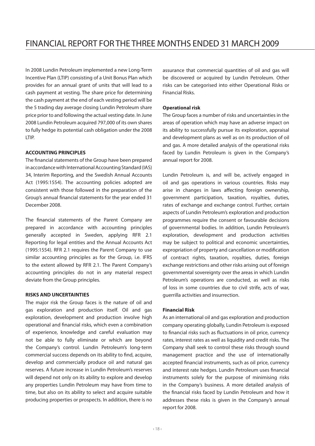In 2008 Lundin Petroleum implemented a new Long-Term Incentive Plan (LTIP) consisting of a Unit Bonus Plan which provides for an annual grant of units that will lead to a cash payment at vesting. The share price for determining the cash payment at the end of each vesting period will be the 5 trading day average closing Lundin Petroleum share price prior to and following the actual vesting date. In June 2008 Lundin Petroleum acquired 797,000 of its own shares to fully hedge its potential cash obligation under the 2008 LTIP.

### **ACCOUNTING PRINCIPLES**

The financial statements of the Group have been prepared in accordance with International Accounting Standard (IAS) 34, Interim Reporting, and the Swedish Annual Accounts Act (1995:1554). The accounting policies adopted are consistent with those followed in the preparation of the Group's annual financial statements for the year ended 31 December 2008.

The financial statements of the Parent Company are prepared in accordance with accounting principles generally accepted in Sweden, applying RFR 2.1 Reporting for legal entities and the Annual Accounts Act (1995:1554). RFR 2.1 requires the Parent Company to use similar accounting principles as for the Group, i.e. IFRS to the extent allowed by RFR 2.1. The Parent Company's accounting principles do not in any material respect deviate from the Group principles.

#### **RISKS AND UNCERTAINTIES**

The major risk the Group faces is the nature of oil and gas exploration and production itself. Oil and gas exploration, development and production involve high operational and financial risks, which even a combination of experience, knowledge and careful evaluation may not be able to fully eliminate or which are beyond the Company's control. Lundin Petroleum's long-term commercial success depends on its ability to find, acquire, develop and commercially produce oil and natural gas reserves. A future increase in Lundin Petroleum's reserves will depend not only on its ability to explore and develop any properties Lundin Petroleum may have from time to time, but also on its ability to select and acquire suitable producing properties or prospects. In addition, there is no assurance that commercial quantities of oil and gas will be discovered or acquired by Lundin Petroleum. Other risks can be categorised into either Operational Risks or Financial Risks.

#### **Operational risk**

The Group faces a number of risks and uncertainties in the areas of operation which may have an adverse impact on its ability to successfully pursue its exploration, appraisal and development plans as well as on its production of oil and gas. A more detailed analysis of the operational risks faced by Lundin Petroleum is given in the Company's annual report for 2008.

Lundin Petroleum is, and will be, actively engaged in oil and gas operations in various countries. Risks may arise in changes in laws affecting foreign ownership, government participation, taxation, royalties, duties, rates of exchange and exchange control. Further, certain aspects of Lundin Petroleum's exploration and production programmes require the consent or favourable decisions of governmental bodies. In addition, Lundin Petroleum's exploration, development and production activities may be subject to political and economic uncertainties, expropriation of property and cancellation or modification of contract rights, taxation, royalties, duties, foreign exchange restrictions and other risks arising out of foreign governmental sovereignty over the areas in which Lundin Petroleum's operations are conducted, as well as risks of loss in some countries due to civil strife, acts of war, guerrilla activities and insurrection.

#### **Financial Risk**

As an international oil and gas exploration and production company operating globally, Lundin Petroleum is exposed to financial risks such as fluctuations in oil price, currency rates, interest rates as well as liquidity and credit risks. The Company shall seek to control these risks through sound management practice and the use of internationally accepted financial instruments, such as oil price, currency and interest rate hedges. Lundin Petroleum uses financial instruments solely for the purpose of minimising risks in the Company's business. A more detailed analysis of the financial risks faced by Lundin Petroleum and how it addresses these risks is given in the Company's annual report for 2008.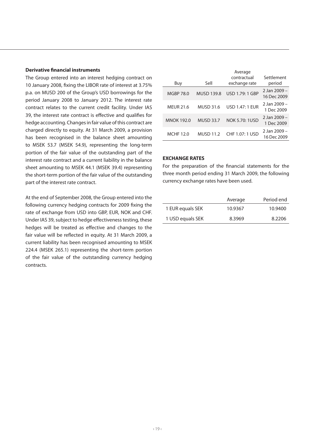#### **Derivative financial instruments**

The Group entered into an interest hedging contract on 10 January 2008, fixing the LIBOR rate of interest at 3.75% p.a. on MUSD 200 of the Group's USD borrowings for the period January 2008 to January 2012. The interest rate contract relates to the current credit facility. Under IAS 39, the interest rate contract is effective and qualifies for hedge accounting. Changes in fair value of this contract are charged directly to equity. At 31 March 2009, a provision has been recognised in the balance sheet amounting to MSEK 53.7 (MSEK 54.9), representing the long-term portion of the fair value of the outstanding part of the interest rate contract and a current liability in the balance sheet amounting to MSEK 44.1 (MSEK 39.4) representing the short-term portion of the fair value of the outstanding part of the interest rate contract.

At the end of September 2008, the Group entered into the following currency hedging contracts for 2009 fixing the rate of exchange from USD into GBP, EUR, NOK and CHF. Under IAS 39, subject to hedge effectiveness testing, these hedges will be treated as effective and changes to the fair value will be reflected in equity. At 31 March 2009, a current liability has been recognised amounting to MSEK 224.4 (MSEK 265.1) representing the short-term portion of the fair value of the outstanding currency hedging contracts.

| Sell              | Average<br>contractual<br>exchange rate | Settlement<br>period        |
|-------------------|-----------------------------------------|-----------------------------|
| <b>MUSD 139.8</b> | USD 1.79: 1 GBP                         | 2 Jan 2009 -<br>16 Dec 2009 |
| <b>MUSD 31.6</b>  | <b>USD 1.47: 1 EUR</b>                  | 2 Jan 2009 -<br>1 Dec 2009  |
| <b>MUSD 33.7</b>  | <b>NOK 5.70: 1USD</b>                   | 2 Jan 2009 -<br>1 Dec 2009  |
| <b>MUSD 11.2</b>  | CHF 1.07: 1 USD                         | 2 Jan 2009 -<br>16 Dec 2009 |
|                   |                                         |                             |

#### **EXCHANGE RATES**

For the preparation of the financial statements for the three month period ending 31 March 2009, the following currency exchange rates have been used.

|                  | Average | Period end |
|------------------|---------|------------|
| 1 EUR equals SEK | 10.9367 | 10.9400    |
| 1 USD equals SEK | 8.3969  | 8.2206     |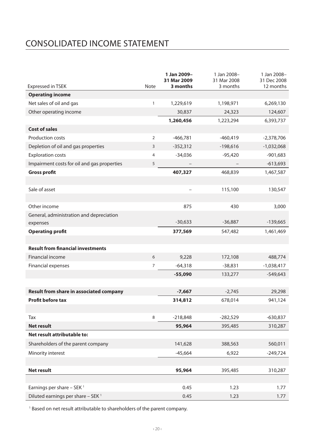# CONSOLIDATED Income statement

| <b>Expressed in TSEK</b>                       | Note           | 1 Jan 2009-<br>31 Mar 2009<br>3 months | 1 Jan 2008-<br>31 Mar 2008<br>3 months | 1 Jan 2008-<br>31 Dec 2008<br>12 months |
|------------------------------------------------|----------------|----------------------------------------|----------------------------------------|-----------------------------------------|
| <b>Operating income</b>                        |                |                                        |                                        |                                         |
| Net sales of oil and gas                       | $\mathbf{1}$   | 1,229,619                              | 1,198,971                              | 6,269,130                               |
| Other operating income                         |                | 30,837                                 | 24,323                                 | 124,607                                 |
|                                                |                | 1,260,456                              | 1,223,294                              | 6,393,737                               |
| <b>Cost of sales</b>                           |                |                                        |                                        |                                         |
| Production costs                               | $\overline{2}$ | $-466,781$                             | $-460,419$                             | $-2,378,706$                            |
| Depletion of oil and gas properties            | 3              | $-352,312$                             | $-198,616$                             | $-1,032,068$                            |
| <b>Exploration costs</b>                       | $\overline{4}$ | $-34,036$                              | $-95,420$                              | $-901,683$                              |
| Impairment costs for oil and gas properties    | 5              |                                        |                                        | $-613,693$                              |
| <b>Gross profit</b>                            |                | 407,327                                | 468,839                                | 1,467,587                               |
|                                                |                |                                        |                                        |                                         |
| Sale of asset                                  |                |                                        | 115,100                                | 130,547                                 |
|                                                |                |                                        |                                        |                                         |
| Other income                                   |                | 875                                    | 430                                    | 3,000                                   |
| General, administration and depreciation       |                |                                        |                                        |                                         |
| expenses                                       |                | $-30,633$                              | $-36,887$                              | $-139,665$                              |
| <b>Operating profit</b>                        |                | 377,569                                | 547,482                                | 1,461,469                               |
|                                                |                |                                        |                                        |                                         |
| <b>Result from financial investments</b>       |                |                                        |                                        |                                         |
| Financial income                               | 6              | 9,228                                  | 172,108                                | 488,774                                 |
| <b>Financial expenses</b>                      | $\overline{7}$ | $-64,318$                              | $-38,831$                              | $-1,038,417$                            |
|                                                |                | $-55,090$                              | 133,277                                | $-549,643$                              |
|                                                |                |                                        |                                        |                                         |
| <b>Result from share in associated company</b> |                | $-7,667$                               | $-2,745$                               | 29,298                                  |
| <b>Profit before tax</b>                       |                | 314,812                                | 678,014                                | 941,124                                 |
|                                                |                |                                        |                                        |                                         |
| Tax                                            | 8              | $-218,848$                             | -282,529                               | -630,837                                |
| <b>Net result</b>                              |                | 95,964                                 | 395,485                                | 310,287                                 |
| Net result attributable to:                    |                |                                        |                                        |                                         |
| Shareholders of the parent company             |                | 141,628                                | 388,563                                | 560,011                                 |
| Minority interest                              |                | $-45,664$                              | 6,922                                  | $-249,724$                              |
|                                                |                |                                        |                                        |                                         |
| Net result                                     |                | 95,964                                 | 395,485                                | 310,287                                 |
|                                                |                |                                        |                                        |                                         |
| Earnings per share $-$ SEK $^1$                |                | 0.45                                   | 1.23                                   | 1.77                                    |
| Diluted earnings per share - SEK <sup>1</sup>  |                | 0.45                                   | 1.23                                   | 1.77                                    |

<sup>1</sup> Based on net result attributable to shareholders of the parent company.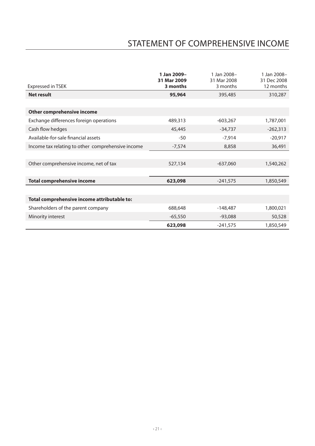# STATEMENT OF COMPREHENSIVE INCOME

|                                                   | 1 Jan 2009-<br>31 Mar 2009 | 1 Jan 2008-<br>31 Mar 2008 | 1 Jan 2008-<br>31 Dec 2008 |
|---------------------------------------------------|----------------------------|----------------------------|----------------------------|
| <b>Expressed in TSEK</b>                          | 3 months                   | 3 months                   | 12 months                  |
| <b>Net result</b>                                 | 95,964                     | 395,485                    | 310,287                    |
|                                                   |                            |                            |                            |
| Other comprehensive income                        |                            |                            |                            |
| Exchange differences foreign operations           | 489,313                    | $-603,267$                 | 1,787,001                  |
| Cash flow hedges                                  | 45,445                     | $-34,737$                  | $-262,313$                 |
| Available-for-sale financial assets               | $-50$                      | $-7,914$                   | $-20,917$                  |
| Income tax relating to other comprehensive income | $-7,574$                   | 8,858                      | 36,491                     |
|                                                   |                            |                            |                            |
| Other comprehensive income, net of tax            | 527,134                    | $-637,060$                 | 1,540,262                  |
|                                                   |                            |                            |                            |
| <b>Total comprehensive income</b>                 | 623,098                    | $-241,575$                 | 1,850,549                  |
|                                                   |                            |                            |                            |
| Total comprehensive income attributable to:       |                            |                            |                            |
| Shareholders of the parent company                | 688,648                    | $-148,487$                 | 1,800,021                  |
| Minority interest                                 | $-65,550$                  | $-93,088$                  | 50,528                     |
|                                                   | 623,098                    | $-241,575$                 | 1,850,549                  |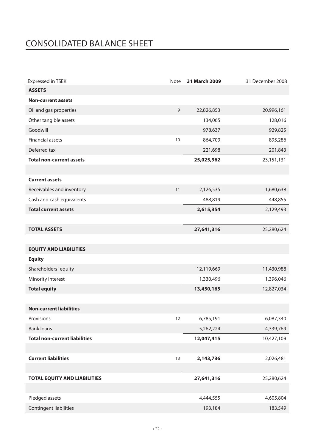# CONSOLIDATED BALANCE SHEET

| <b>Expressed in TSEK</b>             | Note | 31 March 2009 | 31 December 2008 |
|--------------------------------------|------|---------------|------------------|
| <b>ASSETS</b>                        |      |               |                  |
| <b>Non-current assets</b>            |      |               |                  |
| Oil and gas properties               | 9    | 22,826,853    | 20,996,161       |
| Other tangible assets                |      | 134,065       | 128,016          |
| Goodwill                             |      | 978,637       | 929,825          |
| Financial assets                     | 10   | 864,709       | 895,286          |
| Deferred tax                         |      | 221,698       | 201,843          |
| <b>Total non-current assets</b>      |      | 25,025,962    | 23,151,131       |
|                                      |      |               |                  |
| <b>Current assets</b>                |      |               |                  |
| Receivables and inventory            | 11   | 2,126,535     | 1,680,638        |
| Cash and cash equivalents            |      | 488,819       | 448,855          |
| <b>Total current assets</b>          |      | 2,615,354     | 2,129,493        |
|                                      |      |               |                  |
| <b>TOTAL ASSETS</b>                  |      | 27,641,316    | 25,280,624       |
|                                      |      |               |                  |
| <b>EQUITY AND LIABILITIES</b>        |      |               |                  |
| <b>Equity</b>                        |      |               |                  |
| Shareholders' equity                 |      | 12,119,669    | 11,430,988       |
| Minority interest                    |      | 1,330,496     | 1,396,046        |
| <b>Total equity</b>                  |      | 13,450,165    | 12,827,034       |
|                                      |      |               |                  |
| <b>Non-current liabilities</b>       |      |               |                  |
| Provisions                           | 12   | 6,785,191     | 6,087,340        |
| <b>Bank loans</b>                    |      | 5,262,224     | 4,339,769        |
| <b>Total non-current liabilities</b> |      | 12,047,415    | 10,427,109       |
|                                      |      |               |                  |
| <b>Current liabilities</b>           | 13   | 2,143,736     | 2,026,481        |
|                                      |      |               |                  |
| <b>TOTAL EQUITY AND LIABILITIES</b>  |      | 27,641,316    | 25,280,624       |
|                                      |      |               |                  |
| Pledged assets                       |      | 4,444,555     | 4,605,804        |
| <b>Contingent liabilities</b>        |      | 193,184       | 183,549          |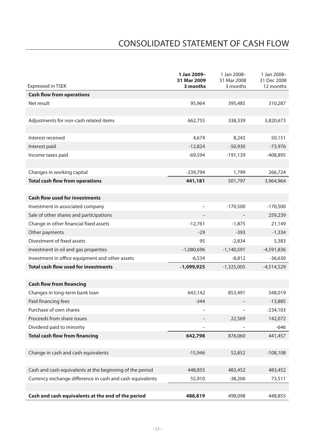# CONSOLIDATED STATEMENT OF CASH FLOW

| <b>Expressed in TSEK</b>                                  | 1 Jan 2009-<br>31 Mar 2009<br>3 months | 1 Jan 2008-<br>31 Mar 2008<br>3 months | 1 Jan 2008-<br>31 Dec 2008<br>12 months |
|-----------------------------------------------------------|----------------------------------------|----------------------------------------|-----------------------------------------|
| <b>Cash flow from operations</b>                          |                                        |                                        |                                         |
| Net result                                                | 95,964                                 | 395,485                                | 310,287                                 |
|                                                           |                                        |                                        |                                         |
| Adjustments for non-cash related items                    | 662,755                                | 338,339                                | 3,820,673                               |
|                                                           |                                        |                                        |                                         |
| Interest received                                         | 4,674                                  | 8,243                                  | 50,151                                  |
| Interest paid                                             | $-12,824$                              | $-50,930$                              | $-73,976$                               |
| Income taxes paid                                         | $-69,594$                              | -191,139                               | -408,895                                |
|                                                           |                                        |                                        |                                         |
| Changes in working capital                                | $-239,794$                             | 1,799                                  | 266,724                                 |
| <b>Total cash flow from operations</b>                    | 441,181                                | 501,797                                | 3,964,964                               |
|                                                           |                                        |                                        |                                         |
| <b>Cash flow used for investments</b>                     |                                        |                                        |                                         |
| Investment in associated company                          |                                        | $-170,500$                             | $-170,500$                              |
| Sale of other shares and participations                   |                                        |                                        | 259,239                                 |
| Change in other financial fixed assets                    | $-12,761$                              | $-1,875$                               | 21,149                                  |
| Other payments                                            | $-29$                                  | $-393$                                 | $-1,334$                                |
| Divestment of fixed assets                                | 95                                     | $-2,834$                               | 5,383                                   |
| Investment in oil and gas properties                      | $-1,080,696$                           | $-1,140,591$                           | $-4,591,836$                            |
| Investment in office equipment and other assets           | $-6,534$                               | $-8,812$                               | $-36,630$                               |
| <b>Total cash flow used for investments</b>               | -1,099,925                             | $-1,325,005$                           | -4,514,529                              |
|                                                           |                                        |                                        |                                         |
| <b>Cash flow from financing</b>                           |                                        |                                        |                                         |
| Changes in long-term bank loan                            | 643,142                                | 853,491                                | 548,019                                 |
| Paid financing fees                                       | $-344$                                 |                                        | $-13,885$                               |
| Purchase of own shares                                    |                                        | $\overline{a}$                         | $-234,103$                              |
| Proceeds from share issues                                |                                        | 22,569                                 | 142,072                                 |
| Dividend paid to minority                                 |                                        |                                        | $-646$                                  |
| <b>Total cash flow from financing</b>                     | 642,798                                | 876,060                                | 441,457                                 |
|                                                           |                                        |                                        |                                         |
| Change in cash and cash equivalents                       | $-15,946$                              | 52,852                                 | $-108,108$                              |
|                                                           |                                        |                                        |                                         |
| Cash and cash equivalents at the beginning of the period  | 448,855                                | 483,452                                | 483,452                                 |
| Currency exchange difference in cash and cash equivalents | 55,910                                 | $-38,206$                              | 73,511                                  |
|                                                           |                                        |                                        |                                         |
| Cash and cash equivalents at the end of the period        | 488,819                                | 498,098                                | 448,855                                 |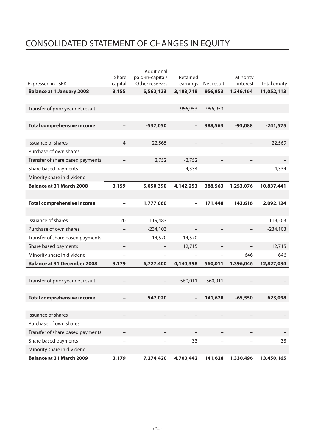# CONSOLIDATED STATEMENT OF CHANGES IN EQUITY

|                                    |                          | Additional               |                          |                          |           |              |
|------------------------------------|--------------------------|--------------------------|--------------------------|--------------------------|-----------|--------------|
|                                    | Share                    | paid-in-capital/         | Retained                 |                          | Minority  |              |
| <b>Expressed in TSEK</b>           | capital                  | Other reserves           | earnings                 | Net result               | interest  | Total equity |
| <b>Balance at 1 January 2008</b>   | 3,155                    | 5,562,123                | 3,183,718                | 956,953                  | 1,346,164 | 11,052,113   |
|                                    |                          |                          |                          |                          |           |              |
| Transfer of prior year net result  |                          |                          | 956,953                  | $-956,953$               |           |              |
|                                    |                          |                          |                          |                          |           |              |
| <b>Total comprehensive income</b>  |                          | -537,050                 | $\overline{\phantom{0}}$ | 388,563                  | $-93,088$ | $-241,575$   |
|                                    |                          |                          |                          |                          |           |              |
| <b>Issuance of shares</b>          | $\overline{4}$           | 22,565                   |                          |                          |           | 22,569       |
| Purchase of own shares             |                          |                          |                          |                          |           |              |
| Transfer of share based payments   |                          | 2,752                    | $-2,752$                 |                          |           |              |
| Share based payments               |                          |                          | 4,334                    | $\overline{\phantom{0}}$ |           | 4,334        |
| Minority share in dividend         |                          |                          |                          |                          |           |              |
| <b>Balance at 31 March 2008</b>    | 3,159                    | 5,050,390                | 4,142,253                | 388,563                  | 1,253,076 | 10,837,441   |
|                                    |                          |                          |                          |                          |           |              |
| <b>Total comprehensive income</b>  |                          | 1,777,060                | $\overline{\phantom{0}}$ | 171,448                  | 143,616   | 2,092,124    |
|                                    |                          |                          |                          |                          |           |              |
| Issuance of shares                 | 20                       | 119,483                  |                          |                          |           | 119,503      |
| Purchase of own shares             |                          | $-234,103$               |                          |                          |           | $-234,103$   |
| Transfer of share based payments   | $\overline{a}$           | 14,570                   | $-14,570$                |                          |           |              |
| Share based payments               |                          |                          | 12,715                   | -                        |           | 12,715       |
| Minority share in dividend         | $\overline{\phantom{a}}$ | $\overline{a}$           |                          | $\overline{a}$           | $-646$    | $-646$       |
| <b>Balance at 31 December 2008</b> | 3,179                    | 6,727,400                | 4,140,398                | 560,011                  | 1,396,046 | 12,827,034   |
|                                    |                          |                          |                          |                          |           |              |
| Transfer of prior year net result  |                          |                          | 560,011                  | $-560,011$               |           |              |
|                                    |                          |                          |                          |                          |           |              |
| <b>Total comprehensive income</b>  |                          | 547,020                  |                          | 141,628                  | $-65,550$ | 623,098      |
|                                    |                          |                          |                          |                          |           |              |
| Issuance of shares                 |                          |                          |                          |                          |           |              |
| Purchase of own shares             |                          |                          |                          |                          |           |              |
| Transfer of share based payments   |                          |                          |                          |                          |           |              |
| Share based payments               |                          | $\overline{\phantom{a}}$ | 33                       | ۳                        |           | 33           |
| Minority share in dividend         |                          |                          |                          |                          |           |              |
| <b>Balance at 31 March 2009</b>    | 3,179                    | 7,274,420                | 4,700,442                | 141,628                  | 1,330,496 | 13,450,165   |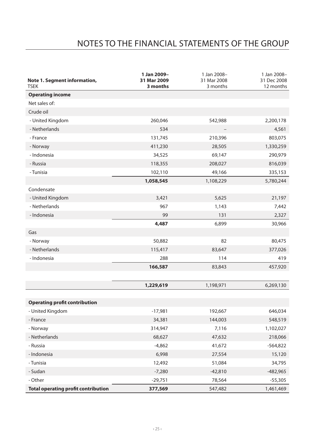# NOTES TO THE FINANCIAL STATEMENTS OF THE GROUP

| Note 1. Segment information,<br><b>TSEK</b> | 1 Jan 2009-<br>31 Mar 2009<br>3 months | 1 Jan 2008-<br>31 Mar 2008<br>3 months | 1 Jan 2008-<br>31 Dec 2008<br>12 months |
|---------------------------------------------|----------------------------------------|----------------------------------------|-----------------------------------------|
| <b>Operating income</b>                     |                                        |                                        |                                         |
| Net sales of:                               |                                        |                                        |                                         |
| Crude oil                                   |                                        |                                        |                                         |
| - United Kingdom                            | 260,046                                | 542,988                                | 2,200,178                               |
| - Netherlands                               | 534                                    |                                        | 4,561                                   |
| - France                                    | 131,745                                | 210,396                                | 803,075                                 |
| - Norway                                    | 411,230                                | 28,505                                 | 1,330,259                               |
| - Indonesia                                 | 34,525                                 | 69,147                                 | 290,979                                 |
| - Russia                                    | 118,355                                | 208,027                                | 816,039                                 |
| - Tunisia                                   | 102,110                                | 49,166                                 | 335,153                                 |
|                                             | 1,058,545                              | 1,108,229                              | 5,780,244                               |
| Condensate                                  |                                        |                                        |                                         |
| - United Kingdom                            | 3,421                                  | 5,625                                  | 21,197                                  |
| - Netherlands                               | 967                                    | 1,143                                  | 7,442                                   |
| - Indonesia                                 | 99                                     | 131                                    | 2,327                                   |
|                                             | 4,487                                  | 6,899                                  | 30,966                                  |
| Gas                                         |                                        |                                        |                                         |
| - Norway                                    | 50,882                                 | 82                                     | 80,475                                  |
| - Netherlands                               | 115,417                                | 83,647                                 | 377,026                                 |
| - Indonesia                                 | 288                                    | 114                                    | 419                                     |
|                                             | 166,587                                | 83,843                                 | 457,920                                 |
|                                             |                                        |                                        |                                         |
|                                             | 1,229,619                              | 1,198,971                              | 6,269,130                               |
|                                             |                                        |                                        |                                         |
| <b>Operating profit contribution</b>        |                                        |                                        |                                         |
| - United Kingdom                            | $-17,981$                              | 192,667                                | 646,034                                 |
| - France                                    | 34,381                                 | 144,003                                | 548,519                                 |
| - Norway                                    | 314,947                                | 7,116                                  | 1,102,027                               |
| - Netherlands                               | 68,627                                 | 47,632                                 | 218,066                                 |
| - Russia                                    | $-4,862$                               | 41,672                                 | $-564,822$                              |
| - Indonesia                                 | 6,998                                  | 27,554                                 | 15,120                                  |
| - Tunisia                                   | 12,492                                 | 51,084                                 | 34,795                                  |
| - Sudan                                     | $-7,280$                               | $-42,810$                              | $-482,965$                              |
| - Other                                     | $-29,751$                              | 78,564                                 | $-55,305$                               |
| <b>Total operating profit contribution</b>  | 377,569                                | 547,482                                | 1,461,469                               |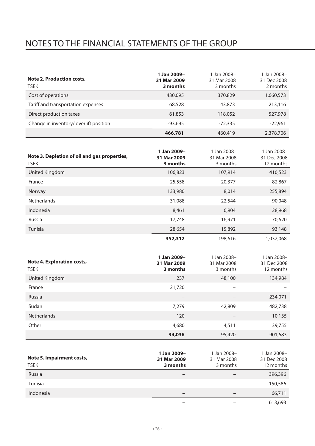# NOTES TO THE FINANCIAL STATEMENTS OF THE GROUP

| Note 2. Production costs,<br>TSEK     | 1 Jan 2009-<br>31 Mar 2009<br>3 months | 1 Jan 2008-<br>31 Mar 2008<br>3 months | 1 Jan 2008-<br>31 Dec 2008<br>12 months |
|---------------------------------------|----------------------------------------|----------------------------------------|-----------------------------------------|
| Cost of operations                    | 430.095                                | 370.829                                | 1,660,573                               |
| Tariff and transportation expenses    | 68,528                                 | 43,873                                 | 213,116                                 |
| Direct production taxes               | 61,853                                 | 118,052                                | 527,978                                 |
| Change in inventory/overlift position | $-93.695$                              | $-72.335$                              | $-22,961$                               |
|                                       | 466,781                                | 460,419                                | 2,378,706                               |

| Note 3. Depletion of oil and gas properties,<br><b>TSEK</b> | 1 Jan 2009-<br>31 Mar 2009<br>3 months | 1 Jan 2008-<br>31 Mar 2008<br>3 months | 1 Jan 2008-<br>31 Dec 2008<br>12 months |
|-------------------------------------------------------------|----------------------------------------|----------------------------------------|-----------------------------------------|
| United Kingdom                                              | 106,823                                | 107,914                                | 410,523                                 |
| France                                                      | 25,558                                 | 20,377                                 | 82,867                                  |
| Norway                                                      | 133,980                                | 8.014                                  | 255,894                                 |
| <b>Netherlands</b>                                          | 31,088                                 | 22,544                                 | 90,048                                  |
| Indonesia                                                   | 8.461                                  | 6.904                                  | 28,968                                  |
| Russia                                                      | 17.748                                 | 16,971                                 | 70,620                                  |
| Tunisia                                                     | 28.654                                 | 15,892                                 | 93,148                                  |
|                                                             | 352,312                                | 198.616                                | 1.032.068                               |

| Note 4. Exploration costs,<br><b>TSEK</b> | 1 Jan 2009-<br>31 Mar 2009<br>3 months | 1 Jan 2008-<br>31 Mar 2008<br>3 months | 1 Jan 2008-<br>31 Dec 2008<br>12 months |
|-------------------------------------------|----------------------------------------|----------------------------------------|-----------------------------------------|
| United Kingdom                            | 237                                    | 48,100                                 | 134,984                                 |
| France                                    | 21,720                                 |                                        |                                         |
| Russia                                    | $\qquad \qquad$                        |                                        | 234,071                                 |
| Sudan                                     | 7,279                                  | 42,809                                 | 482,738                                 |
| <b>Netherlands</b>                        | 120                                    |                                        | 10,135                                  |
| Other                                     | 4,680                                  | 4,511                                  | 39,755                                  |
|                                           | 34,036                                 | 95,420                                 | 901.683                                 |

| Note 5. Impairment costs,<br><b>TSEK</b> | 1 Jan 2009-<br>31 Mar 2009<br>3 months | 1 Jan 2008-<br>31 Mar 2008<br>3 months | 1 Jan 2008-<br>31 Dec 2008<br>12 months |
|------------------------------------------|----------------------------------------|----------------------------------------|-----------------------------------------|
| Russia                                   | $\hspace{0.05cm}$                      |                                        | 396,396                                 |
| Tunisia                                  | $\overline{\phantom{a}}$               |                                        | 150,586                                 |
| Indonesia                                | $\overline{\phantom{a}}$               |                                        | 66,711                                  |
|                                          |                                        |                                        | 613,693                                 |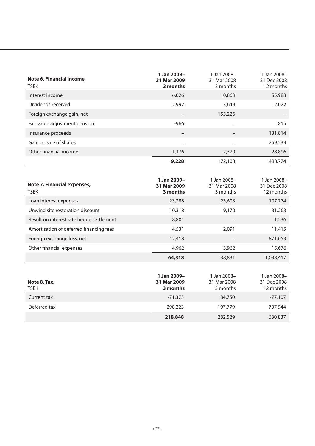| Note 6. Financial income,<br><b>TSEK</b> | 1 Jan 2009-<br>31 Mar 2009<br>3 months | 1 Jan 2008-<br>31 Mar 2008<br>3 months | 1 Jan 2008-<br>31 Dec 2008<br>12 months |
|------------------------------------------|----------------------------------------|----------------------------------------|-----------------------------------------|
| Interest income                          | 6,026                                  | 10,863                                 | 55,988                                  |
| Dividends received                       | 2.992                                  | 3,649                                  | 12,022                                  |
| Foreign exchange gain, net               | $\overline{\phantom{0}}$               | 155,226                                |                                         |
| Fair value adjustment pension            | $-966$                                 |                                        | 815                                     |
| Insurance proceeds                       | $\overline{\phantom{0}}$               |                                        | 131,814                                 |
| Gain on sale of shares                   | $\overline{\phantom{0}}$               |                                        | 259,239                                 |
| Other financial income                   | 1,176                                  | 2,370                                  | 28,896                                  |
|                                          | 9,228                                  | 172,108                                | 488,774                                 |

| Note 7. Financial expenses,<br><b>TSEK</b> | 1 Jan 2009-<br>31 Mar 2009<br>3 months | 1 Jan 2008-<br>31 Mar 2008<br>3 months | 1 Jan 2008-<br>31 Dec 2008<br>12 months |
|--------------------------------------------|----------------------------------------|----------------------------------------|-----------------------------------------|
| Loan interest expenses                     | 23,288                                 | 23,608                                 | 107,774                                 |
| Unwind site restoration discount           | 10,318                                 | 9.170                                  | 31,263                                  |
| Result on interest rate hedge settlement   | 8.801                                  |                                        | 1,236                                   |
| Amortisation of deferred financing fees    | 4,531                                  | 2.091                                  | 11,415                                  |
| Foreign exchange loss, net                 | 12,418                                 |                                        | 871.053                                 |
| Other financial expenses                   | 4.962                                  | 3.962                                  | 15.676                                  |
|                                            | 64,318                                 | 38,831                                 | 1.038.417                               |

| Note 8. Tax,<br><b>TSEK</b> | 1 Jan 2009-<br>31 Mar 2009<br>3 months | 1 Jan 2008-<br>31 Mar 2008<br>3 months | 1 Jan 2008-<br>31 Dec 2008<br>12 months |
|-----------------------------|----------------------------------------|----------------------------------------|-----------------------------------------|
| Current tax                 | $-71.375$                              | 84,750                                 | $-77.107$                               |
| Deferred tax                | 290.223                                | 197,779                                | 707.944                                 |
|                             | 218,848                                | 282,529                                | 630,837                                 |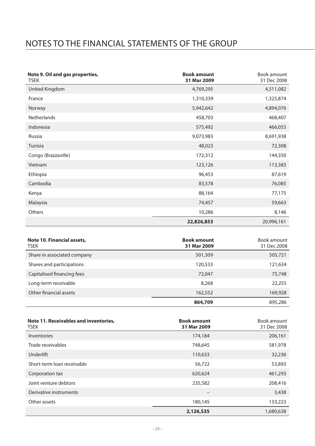# NOTES TO THE FINANCIAL STATEMENTS OF THE GROUP

| Note 9. Oil and gas properties,<br><b>TSEK</b> | <b>Book amount</b><br>31 Mar 2009 | Book amount<br>31 Dec 2008 |
|------------------------------------------------|-----------------------------------|----------------------------|
| United Kingdom                                 | 4,769,295                         | 4,511,082                  |
| France                                         | 1,310,339                         | 1,325,874                  |
| Norway                                         | 5,942,642                         | 4,894,076                  |
| <b>Netherlands</b>                             | 458,703                           | 468,407                    |
| Indonesia                                      | 575,492                           | 466,055                    |
| Russia                                         | 9,073,983                         | 8,691,938                  |
| Tunisia                                        | 48,023                            | 72,308                     |
| Congo (Brazzaville)                            | 172,312                           | 144,350                    |
| Vietnam                                        | 123,126                           | 113,383                    |
| Ethiopia                                       | 96,453                            | 87,619                     |
| Cambodia                                       | 83,578                            | 76,085                     |
| Kenya                                          | 88,164                            | 77,175                     |
| Malaysia                                       | 74,457                            | 59,663                     |
| Others                                         | 10,286                            | 8,146                      |
|                                                | 22,826,853                        | 20,996,161                 |

| Note 10. Financial assets,<br>TSEK | <b>Book amount</b><br>31 Mar 2009 | Book amount<br>31 Dec 2008 |
|------------------------------------|-----------------------------------|----------------------------|
| Share in associated company        | 501,309                           | 505,721                    |
| Shares and participations          | 120,533                           | 121,634                    |
| Capitalised financing fees         | 72,047                            | 75,748                     |
| Long-term receivable               | 8.268                             | 22,255                     |
| Other financial assets             | 162,552                           | 169,928                    |
|                                    | 864,709                           | 895,286                    |

| Note 11. Receivables and inventories.<br>TSEK | <b>Book amount</b><br>31 Mar 2009 | Book amount<br>31 Dec 2008 |
|-----------------------------------------------|-----------------------------------|----------------------------|
| Inventories                                   | 174,184                           | 206,161                    |
| Trade receivables                             | 748,645                           | 581,978                    |
| Underlift                                     | 110,633                           | 32,236                     |
| Short-term loan receivable                    | 56,722                            | 53,893                     |
| Corporation tax                               | 620,624                           | 461,293                    |
| Joint venture debtors                         | 235,582                           | 208,416                    |
| Derivative instruments                        | -                                 | 3,438                      |
| Other assets                                  | 180.145                           | 133,223                    |
|                                               | 2,126,535                         | 1.680.638                  |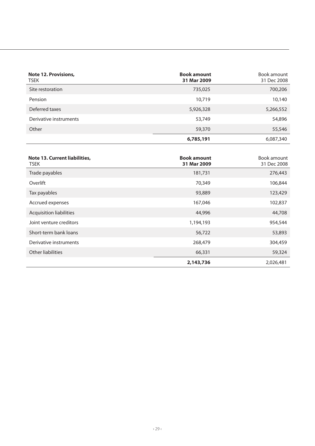| Note 12. Provisions,<br><b>TSEK</b> | <b>Book amount</b><br>31 Mar 2009 | Book amount<br>31 Dec 2008 |
|-------------------------------------|-----------------------------------|----------------------------|
| Site restoration                    | 735,025                           | 700,206                    |
| Pension                             | 10.719                            | 10,140                     |
| Deferred taxes                      | 5,926,328                         | 5,266,552                  |
| Derivative instruments              | 53,749                            | 54,896                     |
| Other                               | 59,370                            | 55,546                     |
|                                     | 6,785,191                         | 6,087,340                  |

| Note 13. Current liabilities,<br><b>TSEK</b> | <b>Book amount</b><br>31 Mar 2009 | Book amount<br>31 Dec 2008 |
|----------------------------------------------|-----------------------------------|----------------------------|
| Trade payables                               | 181,731                           | 276,443                    |
| Overlift                                     | 70,349                            | 106,844                    |
| Tax payables                                 | 93,889                            | 123,429                    |
| Accrued expenses                             | 167,046                           | 102,837                    |
| <b>Acquisition liabilities</b>               | 44,996                            | 44,708                     |
| Joint venture creditors                      | 1,194,193                         | 954,544                    |
| Short-term bank loans                        | 56,722                            | 53,893                     |
| Derivative instruments                       | 268,479                           | 304,459                    |
| Other liabilities                            | 66,331                            | 59,324                     |
|                                              | 2,143,736                         | 2.026.481                  |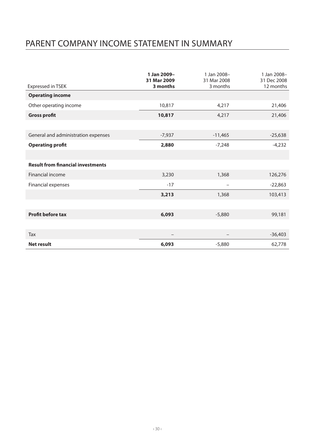# PARENT COMPANY INCOME STATEMENT IN SUMMARY

|                                          | 1 Jan 2009-<br>31 Mar 2009 | 1 Jan 2008-<br>31 Mar 2008 | 1 Jan 2008-<br>31 Dec 2008 |
|------------------------------------------|----------------------------|----------------------------|----------------------------|
| Expressed in TSEK                        | 3 months                   | 3 months                   | 12 months                  |
| <b>Operating income</b>                  |                            |                            |                            |
| Other operating income                   | 10,817                     | 4,217                      | 21,406                     |
| <b>Gross profit</b>                      | 10,817                     | 4,217                      | 21,406                     |
|                                          |                            |                            |                            |
| General and administration expenses      | $-7,937$                   | $-11,465$                  | $-25,638$                  |
| <b>Operating profit</b>                  | 2,880                      | $-7,248$                   | $-4,232$                   |
|                                          |                            |                            |                            |
| <b>Result from financial investments</b> |                            |                            |                            |
| <b>Financial income</b>                  | 3,230                      | 1,368                      | 126,276                    |
| Financial expenses                       | $-17$                      | $\overline{\phantom{0}}$   | $-22,863$                  |
|                                          | 3,213                      | 1,368                      | 103,413                    |
|                                          |                            |                            |                            |
| <b>Profit before tax</b>                 | 6,093                      | $-5,880$                   | 99,181                     |
|                                          |                            |                            |                            |
| Tax                                      |                            |                            | $-36,403$                  |
| <b>Net result</b>                        | 6,093                      | $-5,880$                   | 62,778                     |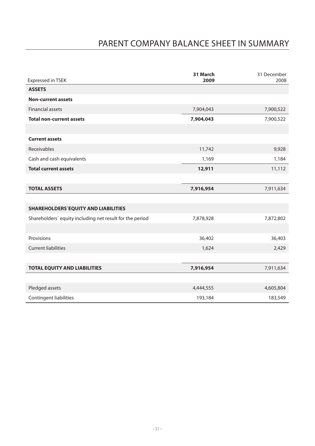# PARENT COMPANY BALANCE SHEET IN SUMMARY

| Expressed in TSEK                                        | 31 March<br>2009 | 31 December<br>2008 |
|----------------------------------------------------------|------------------|---------------------|
| <b>ASSETS</b>                                            |                  |                     |
| <b>Non-current assets</b>                                |                  |                     |
| <b>Financial assets</b>                                  | 7,904,043        | 7,900,522           |
| <b>Total non-current assets</b>                          | 7,904,043        | 7,900,522           |
|                                                          |                  |                     |
| <b>Current assets</b>                                    |                  |                     |
| Receivables                                              | 11,742           | 9,928               |
| Cash and cash equivalents                                | 1,169            | 1,184               |
| <b>Total current assets</b>                              | 12,911           | 11,112              |
|                                                          |                  |                     |
| <b>TOTAL ASSETS</b>                                      | 7,916,954        | 7,911,634           |
|                                                          |                  |                     |
| SHAREHOLDERS'EQUITY AND LIABILITIES                      |                  |                     |
| Shareholders' equity including net result for the period | 7,878,928        | 7,872,802           |
|                                                          |                  |                     |
| Provisions                                               | 36,402           | 36,403              |
| <b>Current liabilities</b>                               | 1,624            | 2,429               |
|                                                          |                  |                     |
| <b>TOTAL EQUITY AND LIABILITIES</b>                      | 7,916,954        | 7,911,634           |
|                                                          |                  |                     |
| Pledged assets                                           | 4,444,555        | 4,605,804           |
| <b>Contingent liabilities</b>                            | 193,184          | 183,549             |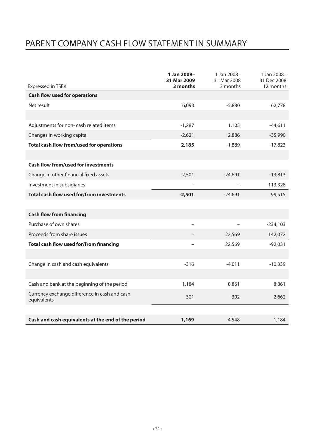# PARENT COMPANY CASH FLOW STATEMENT IN SUMMARY

|                                                              | 1 Jan 2009-<br>31 Mar 2009 | 1 Jan 2008-<br>31 Mar 2008 | 1 Jan 2008-<br>31 Dec 2008 |
|--------------------------------------------------------------|----------------------------|----------------------------|----------------------------|
| <b>Expressed in TSEK</b>                                     | 3 months                   | 3 months                   | 12 months                  |
| <b>Cash flow used for operations</b>                         |                            |                            |                            |
| Net result                                                   | 6,093                      | $-5,880$                   | 62,778                     |
|                                                              |                            |                            |                            |
| Adjustments for non- cash related items                      | $-1,287$                   | 1,105                      | $-44,611$                  |
| Changes in working capital                                   | $-2,621$                   | 2,886                      | $-35,990$                  |
| Total cash flow from/used for operations                     | 2,185                      | $-1,889$                   | $-17,823$                  |
|                                                              |                            |                            |                            |
| <b>Cash flow from/used for investments</b>                   |                            |                            |                            |
| Change in other financial fixed assets                       | $-2.501$                   | $-24.691$                  | $-13,813$                  |
| Investment in subsidiaries                                   |                            |                            | 113,328                    |
| Total cash flow used for/from investments                    | $-2,501$                   | $-24,691$                  | 99,515                     |
|                                                              |                            |                            |                            |
| <b>Cash flow from financing</b>                              |                            |                            |                            |
| Purchase of own shares                                       | $\overline{\phantom{0}}$   |                            | $-234,103$                 |
| Proceeds from share issues                                   |                            | 22,569                     | 142,072                    |
| Total cash flow used for/from financing                      |                            | 22,569                     | $-92,031$                  |
|                                                              |                            |                            |                            |
| Change in cash and cash equivalents                          | $-316$                     | $-4,011$                   | $-10,339$                  |
|                                                              |                            |                            |                            |
| Cash and bank at the beginning of the period                 | 1,184                      | 8,861                      | 8,861                      |
| Currency exchange difference in cash and cash<br>equivalents | 301                        | $-302$                     | 2,662                      |
|                                                              |                            |                            |                            |
| Cash and cash equivalents at the end of the period           | 1,169                      | 4,548                      | 1,184                      |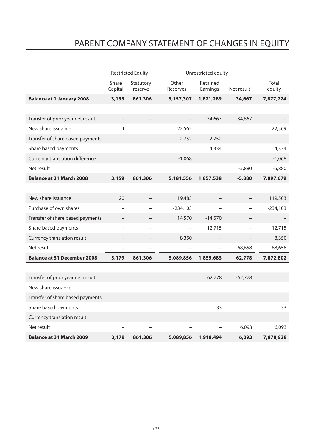# PARENT COMPANY STATEMENT OF CHANGES IN EQUITY

|                                    |                          | <b>Restricted Equity</b> |                   | Unrestricted equity      |                          |                 |
|------------------------------------|--------------------------|--------------------------|-------------------|--------------------------|--------------------------|-----------------|
|                                    | Share<br>Capital         | Statutory<br>reserve     | Other<br>Reserves | Retained<br>Earnings     | Net result               | Total<br>equity |
| <b>Balance at 1 January 2008</b>   | 3,155                    | 861,306                  | 5,157,307         | 1,821,289                | 34,667                   | 7,877,724       |
|                                    |                          |                          |                   |                          |                          |                 |
| Transfer of prior year net result  |                          |                          |                   | 34,667                   | $-34,667$                |                 |
| New share issuance                 | $\overline{4}$           | $\overline{\phantom{0}}$ | 22,565            |                          |                          | 22,569          |
| Transfer of share based payments   | $\qquad \qquad -$        |                          | 2,752             | $-2,752$                 | $\overline{\phantom{a}}$ |                 |
| Share based payments               |                          |                          |                   | 4,334                    |                          | 4,334           |
| Currency translation difference    |                          |                          | $-1,068$          |                          |                          | $-1,068$        |
| Net result                         | $\overline{a}$           | $\overline{a}$           |                   | $\overline{a}$           | $-5,880$                 | $-5,880$        |
| <b>Balance at 31 March 2008</b>    | 3,159                    | 861,306                  | 5,181,556         | 1,857,538                | $-5,880$                 | 7,897,679       |
|                                    |                          |                          |                   |                          |                          |                 |
| New share issuance                 | 20                       |                          | 119,483           |                          |                          | 119,503         |
| Purchase of own shares             | $\overline{a}$           | $\overline{a}$           | $-234,103$        |                          | $\overline{a}$           | $-234,103$      |
| Transfer of share based payments   |                          |                          | 14,570            | $-14,570$                |                          |                 |
| Share based payments               |                          |                          |                   | 12,715                   |                          | 12,715          |
| Currency translation result        | $\overline{\phantom{0}}$ | $\qquad \qquad -$        | 8,350             |                          | $\qquad \qquad -$        | 8,350           |
| Net result                         | $\overline{\phantom{0}}$ | $\overline{\phantom{0}}$ |                   | $\overline{\phantom{0}}$ | 68,658                   | 68,658          |
| <b>Balance at 31 December 2008</b> | 3,179                    | 861,306                  | 5,089,856         | 1,855,683                | 62,778                   | 7,872,802       |
|                                    |                          |                          |                   |                          |                          |                 |
| Transfer of prior year net result  |                          | $\overline{\phantom{0}}$ | $\overline{a}$    | 62,778                   | $-62,778$                |                 |
| New share issuance                 | $\overline{\phantom{a}}$ |                          |                   |                          |                          |                 |
| Transfer of share based payments   |                          |                          |                   |                          |                          |                 |
| Share based payments               |                          | $\overline{\phantom{0}}$ |                   | 33                       |                          | 33              |
| Currency translation result        | $\overline{\phantom{0}}$ | $\qquad \qquad -$        | $\qquad \qquad -$ | $\qquad \qquad -$        | $\overline{\phantom{0}}$ |                 |
| Net result                         |                          |                          |                   |                          | 6.093                    | 6.093           |
| <b>Balance at 31 March 2009</b>    | 3,179                    | 861,306                  | 5,089,856         | 1,918,494                | 6,093                    | 7,878,928       |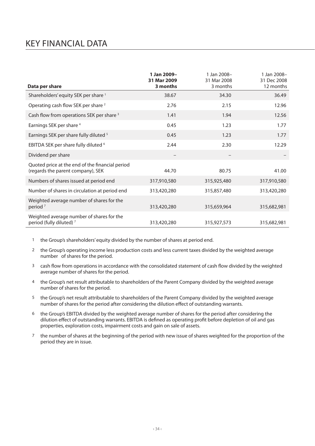## KEY FINANCIAL DATA

| Data per share                                                                       | 1 Jan 2009-<br>31 Mar 2009<br>3 months | 1 Jan 2008-<br>31 Mar 2008<br>3 months | 1 Jan 2008-<br>31 Dec 2008<br>12 months |
|--------------------------------------------------------------------------------------|----------------------------------------|----------------------------------------|-----------------------------------------|
|                                                                                      |                                        |                                        |                                         |
| Shareholders' equity SEK per share 1                                                 | 38.67                                  | 34.30                                  | 36.49                                   |
| Operating cash flow SEK per share <sup>2</sup>                                       | 2.76                                   | 2.15                                   | 12.96                                   |
| Cash flow from operations SEK per share <sup>3</sup>                                 | 1.41                                   | 1.94                                   | 12.56                                   |
| Earnings SEK per share 4                                                             | 0.45                                   | 1.23                                   | 1.77                                    |
| Earnings SEK per share fully diluted <sup>5</sup>                                    | 0.45                                   | 1.23                                   | 1.77                                    |
| EBITDA SEK per share fully diluted <sup>6</sup>                                      | 2.44                                   | 2.30                                   | 12.29                                   |
| Dividend per share                                                                   |                                        |                                        |                                         |
| Quoted price at the end of the financial period<br>(regards the parent company), SEK | 44.70                                  | 80.75                                  | 41.00                                   |
| Numbers of shares issued at period end                                               | 317,910,580                            | 315,925,480                            | 317,910,580                             |
| Number of shares in circulation at period end                                        | 313,420,280                            | 315,857,480                            | 313,420,280                             |
| Weighted average number of shares for the<br>period <sup>7</sup>                     | 313,420,280                            | 315,659,964                            | 315,682,981                             |
| Weighted average number of shares for the<br>period (fully diluted) <sup>7</sup>     | 313,420,280                            | 315,927,573                            | 315,682,981                             |

1 the Group's shareholders' equity divided by the number of shares at period end.

- 2 the Group's operating income less production costs and less current taxes divided by the weighted average number of shares for the period.
- 3 cash flow from operations in accordance with the consolidated statement of cash flow divided by the weighted average number of shares for the period.
- 4 the Group's net result attributable to shareholders of the Parent Company divided by the weighted average number of shares for the period.
- 5 the Group's net result attributable to shareholders of the Parent Company divided by the weighted average number of shares for the period after considering the dilution effect of outstanding warrants.
- 6 the Group's EBITDA divided by the weighted average number of shares for the period after considering the dilution effect of outstanding warrants. EBITDA is defined as operating profit before depletion of oil and gas properties, exploration costs, impairment costs and gain on sale of assets.
- 7 the number of shares at the beginning of the period with new issue of shares weighted for the proportion of the period they are in issue.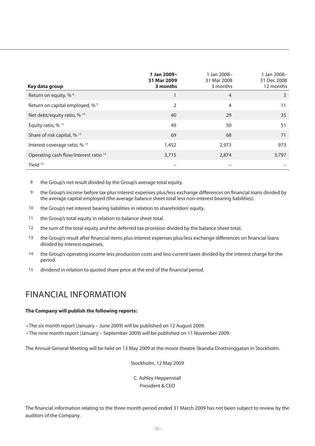| Key data group                         | 1 Jan 2009-<br>31 Mar 2009<br>3 months | 1 Jan 2008-<br>31 Mar 2008<br>3 months | 1 Jan 2008-<br>31 Dec 2008<br>12 months |
|----------------------------------------|----------------------------------------|----------------------------------------|-----------------------------------------|
| Return on equity, % 8                  |                                        | $\overline{4}$                         | 3                                       |
| Return on capital employed, % 9        | $\overline{2}$                         | $\overline{4}$                         | 11                                      |
| Net debt/equity ratio, % 10            | 40                                     | 29                                     | 35                                      |
| Equity ratio, $%$ <sup>11</sup>        | 49                                     | 50                                     | 51                                      |
| Share of risk capital, % <sup>12</sup> | 69                                     | 68                                     | 71                                      |
| Interest coverage ratio, % 13          | 1,452                                  | 2.973                                  | 973                                     |
| Operating cash flow/interest ratio 14  | 3,715                                  | 2,874                                  | 3,797                                   |
| Yield <sup>15</sup>                    |                                        |                                        |                                         |

8 the Group's net result divided by the Group's average total equity.

- 9 the Group's income before tax plus interest expenses plus/less exchange differences on financial loans divided by the average capital employed (the average balance sheet total less non-interest bearing liabilities).
- 10 the Group's net interest bearing liabilities in relation to shareholders' equity.
- 11 the Group's total equity in relation to balance sheet total.
- 12 the sum of the total equity and the deferred tax provision divided by the balance sheet total.
- 13 the Group's result after financial items plus interest expenses plus/less exchange differences on financial loans divided by interest expenses.
- 14 the Group's operating income less production costs and less current taxes divided by the interest charge for the period.
- 15 dividend in relation to quoted share price at the end of the financial period.

## FINANCIAL INFORMATION

#### **The Company will publish the following reports:**

• The six month report (January – June 2009) will be published on 12 August 2009.

• The nine month report (January – September 2009) will be published on 11 November 2009.

The Annual General Meeting will be held on 13 May 2009 at the movie theatre Skandia Drottninggatan in Stockholm.

Stockholm, 12 May 2009

C. Ashley Heppenstall President & CEO

The financial information relating to the three month period ended 31 March 2009 has not been subject to review by the auditors of the Company.